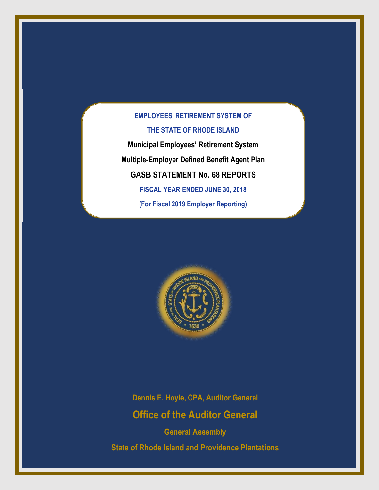**Municipal Employees' Retirement System Multiple-Employer Defined Benefit Agent Plan GASB STATEMENT No. 68 REPORTS FISCAL YEAR ENDED JUNE 30, 2018**

**(For Fiscal 2019 Employer Reporting)**



**Dennis E. Hoyle, CPA, Auditor General Office of the Auditor General**

**General Assembly State of Rhode Island and Providence Plantations**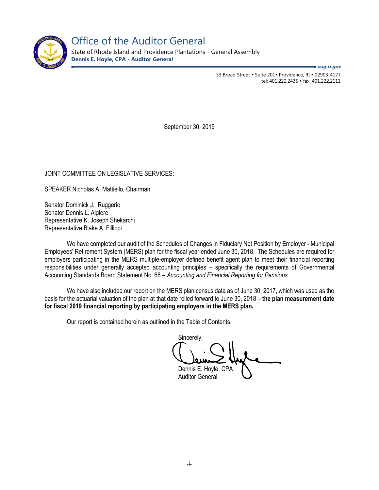

# Office of the Auditor General

State of Rhode Island and Providence Plantations - General Assembly **Dennis E. Hoyle, CPA - Auditor General**

**oag.ri.gov**

33 Broad Street • Suite 201• Providence, RI • 02903-4177 tel: 401.222.2435 · fax: 401.222.2111

September 30, 2019

#### JOINT COMMITTEE ON LEGISLATIVE SERVICES:

SPEAKER Nicholas A. Mattiello, Chairman

Senator Dominick J. Ruggerio Senator Dennis L. Algiere Representative K. Joseph Shekarchi Representative Blake A. Fillippi

We have completed our audit of the Schedules of Changes in Fiduciary Net Position by Employer - Municipal Employees' Retirement System (MERS) plan for the fiscal year ended June 30, 2018. The Schedules are required for employers participating in the MERS multiple-employer defined benefit agent plan to meet their financial reporting responsibilities under generally accepted accounting principles – specifically the requirements of Governmental Accounting Standards Board Statement No. 68 – *Accounting and Financial Reporting for Pensions.* 

We have also included our report on the MERS plan census data as of June 30, 2017, which was used as the basis for the actuarial valuation of the plan at that date rolled forward to June 30, 2018 – **the plan measurement date for fiscal 2019 financial reporting by participating employers in the MERS plan.** 

Our report is contained herein as outlined in the Table of Contents.

Sincerely, Dennis E. Hoyle, CPA Auditor General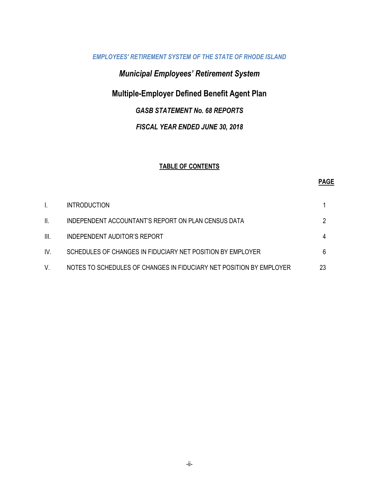### *Municipal Employees' Retirement System*

# **Multiple-Employer Defined Benefit Agent Plan**

### *GASB STATEMENT No. 68 REPORTS*

### *FISCAL YEAR ENDED JUNE 30, 2018*

### **TABLE OF CONTENTS**

### **PAGE**

|      | <b>INTRODUCTION</b>                                                 |    |
|------|---------------------------------------------------------------------|----|
| II.  | INDEPENDENT ACCOUNTANT'S REPORT ON PLAN CENSUS DATA                 | 2  |
| III. | INDEPENDENT AUDITOR'S REPORT                                        |    |
| IV.  | SCHEDULES OF CHANGES IN FIDUCIARY NET POSITION BY EMPLOYER          | 6  |
|      | NOTES TO SCHEDULES OF CHANGES IN FIDUCIARY NET POSITION BY EMPLOYER | 23 |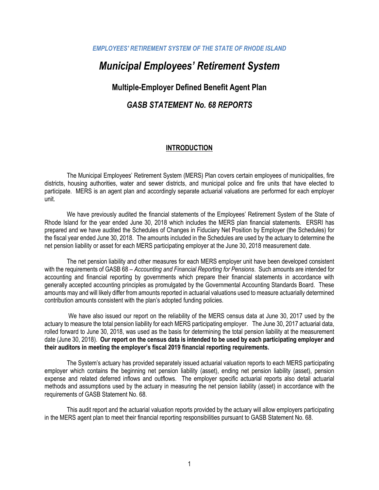# *Municipal Employees' Retirement System*

**Multiple-Employer Defined Benefit Agent Plan** 

### *GASB STATEMENT No. 68 REPORTS*

#### **INTRODUCTION**

The Municipal Employees' Retirement System (MERS) Plan covers certain employees of municipalities, fire districts, housing authorities, water and sewer districts, and municipal police and fire units that have elected to participate. MERS is an agent plan and accordingly separate actuarial valuations are performed for each employer unit.

We have previously audited the financial statements of the Employees' Retirement System of the State of Rhode Island for the year ended June 30, 2018 which includes the MERS plan financial statements. ERSRI has prepared and we have audited the Schedules of Changes in Fiduciary Net Position by Employer (the Schedules) for the fiscal year ended June 30, 2018. The amounts included in the Schedules are used by the actuary to determine the net pension liability or asset for each MERS participating employer at the June 30, 2018 measurement date.

The net pension liability and other measures for each MERS employer unit have been developed consistent with the requirements of GASB 68 – *Accounting and Financial Reporting for Pensions*. Such amounts are intended for accounting and financial reporting by governments which prepare their financial statements in accordance with generally accepted accounting principles as promulgated by the Governmental Accounting Standards Board. These amounts may and will likely differ from amounts reported in actuarial valuations used to measure actuarially determined contribution amounts consistent with the plan's adopted funding policies.

We have also issued our report on the reliability of the MERS census data at June 30, 2017 used by the actuary to measure the total pension liability for each MERS participating employer. The June 30, 2017 actuarial data, rolled forward to June 30, 2018, was used as the basis for determining the total pension liability at the measurement date (June 30, 2018). **Our report on the census data is intended to be used by each participating employer and their auditors in meeting the employer's fiscal 2019 financial reporting requirements.**

The System's actuary has provided separately issued actuarial valuation reports to each MERS participating employer which contains the beginning net pension liability (asset), ending net pension liability (asset), pension expense and related deferred inflows and outflows. The employer specific actuarial reports also detail actuarial methods and assumptions used by the actuary in measuring the net pension liability (asset) in accordance with the requirements of GASB Statement No. 68.

This audit report and the actuarial valuation reports provided by the actuary will allow employers participating in the MERS agent plan to meet their financial reporting responsibilities pursuant to GASB Statement No. 68.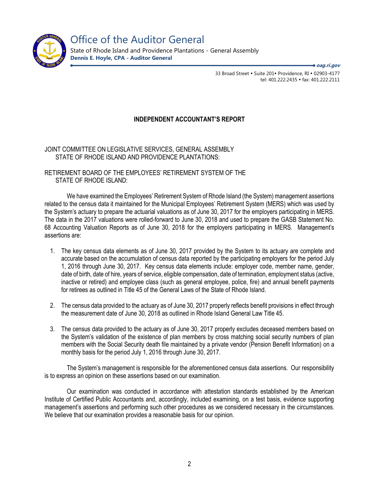

Office of the Auditor General State of Rhode Island and Providence Plantations - General Assembly

**Dennis E. Hoyle, CPA - Auditor General**

33 Broad Street • Suite 201 • Providence, RI • 02903-4177 tel: 401.222.2435 · fax: 401.222.2111 **oag.ri.gov**

#### **INDEPENDENT ACCOUNTANT'S REPORT**

JOINT COMMITTEE ON LEGISLATIVE SERVICES, GENERAL ASSEMBLY STATE OF RHODE ISLAND AND PROVIDENCE PLANTATIONS:

RETIREMENT BOARD OF THE EMPLOYEES' RETIREMENT SYSTEM OF THE STATE OF RHODE ISLAND:

We have examined the Employees' Retirement System of Rhode Island (the System) management assertions related to the census data it maintained for the Municipal Employees' Retirement System (MERS) which was used by the System's actuary to prepare the actuarial valuations as of June 30, 2017 for the employers participating in MERS. The data in the 2017 valuations were rolled-forward to June 30, 2018 and used to prepare the GASB Statement No. 68 Accounting Valuation Reports as of June 30, 2018 for the employers participating in MERS. Management's assertions are:

- 1. The key census data elements as of June 30, 2017 provided by the System to its actuary are complete and accurate based on the accumulation of census data reported by the participating employers for the period July 1, 2016 through June 30, 2017. Key census data elements include: employer code, member name, gender, date of birth, date of hire, years of service, eligible compensation, date of termination, employment status (active, inactive or retired) and employee class (such as general employee, police, fire) and annual benefit payments for retirees as outlined in Title 45 of the General Laws of the State of Rhode Island.
- 2. The census data provided to the actuary as of June 30, 2017 properly reflects benefit provisions in effect through the measurement date of June 30, 2018 as outlined in Rhode Island General Law Title 45.
- 3. The census data provided to the actuary as of June 30, 2017 properly excludes deceased members based on the System's validation of the existence of plan members by cross matching social security numbers of plan members with the Social Security death file maintained by a private vendor (Pension Benefit Information) on a monthly basis for the period July 1, 2016 through June 30, 2017.

The System's management is responsible for the aforementioned census data assertions. Our responsibility is to express an opinion on these assertions based on our examination.

Our examination was conducted in accordance with attestation standards established by the American Institute of Certified Public Accountants and, accordingly, included examining, on a test basis, evidence supporting management's assertions and performing such other procedures as we considered necessary in the circumstances. We believe that our examination provides a reasonable basis for our opinion.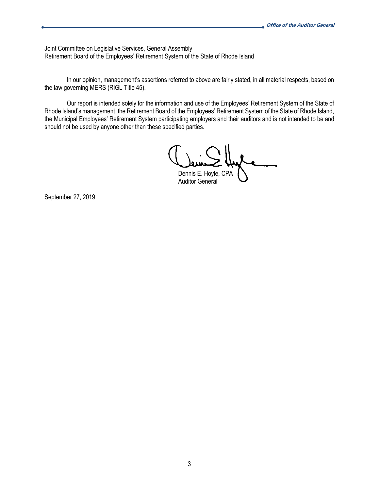Joint Committee on Legislative Services, General Assembly Retirement Board of the Employees' Retirement System of the State of Rhode Island

In our opinion, management's assertions referred to above are fairly stated, in all material respects, based on the law governing MERS (RIGL Title 45).

Our report is intended solely for the information and use of the Employees' Retirement System of the State of Rhode Island's management, the Retirement Board of the Employees' Retirement System of the State of Rhode Island, the Municipal Employees' Retirement System participating employers and their auditors and is not intended to be and should not be used by anyone other than these specified parties.

Dennis E. Hoyle, Auditor General

September 27, 2019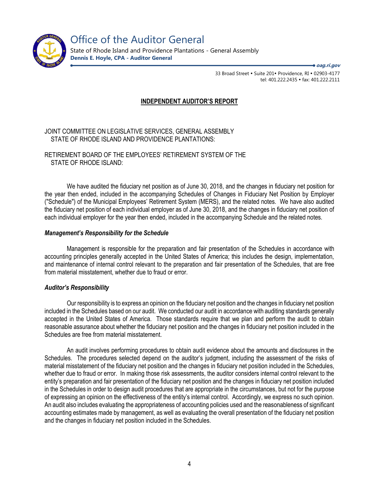

Office of the Auditor General State of Rhode Island and Providence Plantations - General Assembly **Dennis E. Hoyle, CPA - Auditor General**

> 33 Broad Street • Suite 201• Providence, RI • 02903-4177 tel: 401.222.2435 • fax: 401.222.2111 **oag.ri.gov**

#### **INDEPENDENT AUDITOR'S REPORT**

#### JOINT COMMITTEE ON LEGISLATIVE SERVICES, GENERAL ASSEMBLY STATE OF RHODE ISLAND AND PROVIDENCE PLANTATIONS:

#### RETIREMENT BOARD OF THE EMPLOYEES' RETIREMENT SYSTEM OF THE STATE OF RHODE ISLAND:

We have audited the fiduciary net position as of June 30, 2018, and the changes in fiduciary net position for the year then ended, included in the accompanying Schedules of Changes in Fiduciary Net Position by Employer ("Schedule") of the Municipal Employees' Retirement System (MERS), and the related notes. We have also audited the fiduciary net position of each individual employer as of June 30, 2018, and the changes in fiduciary net position of each individual employer for the year then ended, included in the accompanying Schedule and the related notes.

#### *Management's Responsibility for the Schedule*

Management is responsible for the preparation and fair presentation of the Schedules in accordance with accounting principles generally accepted in the United States of America; this includes the design, implementation, and maintenance of internal control relevant to the preparation and fair presentation of the Schedules, that are free from material misstatement, whether due to fraud or error.

#### *Auditor's Responsibility*

Our responsibility is to express an opinion on the fiduciary net position and the changes in fiduciary net position included in the Schedules based on our audit. We conducted our audit in accordance with auditing standards generally accepted in the United States of America. Those standards require that we plan and perform the audit to obtain reasonable assurance about whether the fiduciary net position and the changes in fiduciary net position included in the Schedules are free from material misstatement.

An audit involves performing procedures to obtain audit evidence about the amounts and disclosures in the Schedules. The procedures selected depend on the auditor's judgment, including the assessment of the risks of material misstatement of the fiduciary net position and the changes in fiduciary net position included in the Schedules, whether due to fraud or error. In making those risk assessments, the auditor considers internal control relevant to the entity's preparation and fair presentation of the fiduciary net position and the changes in fiduciary net position included in the Schedules in order to design audit procedures that are appropriate in the circumstances, but not for the purpose of expressing an opinion on the effectiveness of the entity's internal control. Accordingly, we express no such opinion. An audit also includes evaluating the appropriateness of accounting policies used and the reasonableness of significant accounting estimates made by management, as well as evaluating the overall presentation of the fiduciary net position and the changes in fiduciary net position included in the Schedules.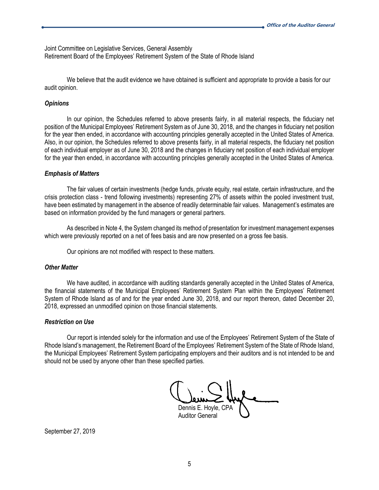Joint Committee on Legislative Services, General Assembly Retirement Board of the Employees' Retirement System of the State of Rhode Island

We believe that the audit evidence we have obtained is sufficient and appropriate to provide a basis for our audit opinion.

#### *Opinions*

In our opinion, the Schedules referred to above presents fairly, in all material respects, the fiduciary net position of the Municipal Employees' Retirement System as of June 30, 2018, and the changes in fiduciary net position for the year then ended, in accordance with accounting principles generally accepted in the United States of America. Also, in our opinion, the Schedules referred to above presents fairly, in all material respects, the fiduciary net position of each individual employer as of June 30, 2018 and the changes in fiduciary net position of each individual employer for the year then ended, in accordance with accounting principles generally accepted in the United States of America.

#### *Emphasis of Matters*

The fair values of certain investments (hedge funds, private equity, real estate, certain infrastructure, and the crisis protection class - trend following investments) representing 27% of assets within the pooled investment trust, have been estimated by management in the absence of readily determinable fair values. Management's estimates are based on information provided by the fund managers or general partners.

As described in Note 4, the System changed its method of presentation for investment management expenses which were previously reported on a net of fees basis and are now presented on a gross fee basis.

Our opinions are not modified with respect to these matters.

#### *Other Matter*

We have audited, in accordance with auditing standards generally accepted in the United States of America, the financial statements of the Municipal Employees' Retirement System Plan within the Employees' Retirement System of Rhode Island as of and for the year ended June 30, 2018, and our report thereon, dated December 20, 2018, expressed an unmodified opinion on those financial statements.

#### *Restriction on Use*

Our report is intended solely for the information and use of the Employees' Retirement System of the State of Rhode Island's management, the Retirement Board of the Employees' Retirement System of the State of Rhode Island, the Municipal Employees' Retirement System participating employers and their auditors and is not intended to be and should not be used by anyone other than these specified parties.

Dennis E. Hoyle, CPA Auditor General

September 27, 2019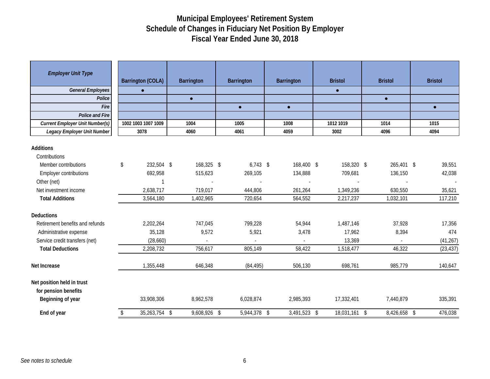| <b>Employer Unit Type</b>                                                                                                                   | <b>Barrington (COLA)</b>                     | <b>Barrington</b> |                                         | <b>Barrington</b>                                          | <b>Barrington</b>                   | <b>Bristol</b>                             | <b>Bristol</b>                      | <b>Bristol</b>                          |
|---------------------------------------------------------------------------------------------------------------------------------------------|----------------------------------------------|-------------------|-----------------------------------------|------------------------------------------------------------|-------------------------------------|--------------------------------------------|-------------------------------------|-----------------------------------------|
| <b>General Employees</b>                                                                                                                    | $\bullet$                                    |                   |                                         |                                                            |                                     | $\bullet$                                  |                                     |                                         |
| Police                                                                                                                                      |                                              | $\bullet$         |                                         |                                                            |                                     |                                            | $\bullet$                           |                                         |
| Fire                                                                                                                                        |                                              |                   |                                         | $\bullet$                                                  | $\bullet$                           |                                            |                                     | $\bullet$                               |
| Police and Fire                                                                                                                             |                                              |                   |                                         |                                                            |                                     |                                            |                                     |                                         |
| <b>Current Employer Unit Number(s)</b>                                                                                                      | 1002 1003 1007 1009                          | 1004              |                                         | 1005                                                       | 1008                                | 1012 1019                                  | 1014                                | 1015                                    |
| Legacy Employer Unit Number                                                                                                                 | 3078                                         | 4060              |                                         | 4061                                                       | 4059                                | 3002                                       | 4096                                | 4094                                    |
| <b>Additions</b><br>Contributions<br>Member contributions                                                                                   | 232,504 \$<br>\$                             |                   | $168,325$ \$                            | $6,743$ \$                                                 | 168,400 \$                          | 158,320 \$                                 | 265,401 \$                          | 39,551                                  |
| <b>Employer contributions</b>                                                                                                               | 692,958                                      | 515,623           |                                         | 269,105                                                    | 134,888                             | 709,681                                    | 136,150                             | 42,038                                  |
| Other (net)                                                                                                                                 |                                              |                   |                                         |                                                            | $\sim$                              |                                            |                                     |                                         |
| Net investment income                                                                                                                       | 2,638,717                                    | 719,017           |                                         | 444,806                                                    | 261,264                             | 1,349,236                                  | 630,550                             | 35,621                                  |
| <b>Total Additions</b>                                                                                                                      | 3,564,180                                    | 1,402,965         |                                         | 720,654                                                    | 564,552                             | 2,217,237                                  | 1,032,101                           | 117,210                                 |
| <b>Deductions</b><br>Retirement benefits and refunds<br>Administrative expense<br>Service credit transfers (net)<br><b>Total Deductions</b> | 2,202,264<br>35,128<br>(28,660)<br>2,208,732 |                   | 747,045<br>9,572<br>$\omega$<br>756,617 | 799,228<br>5,921<br>$\mathcal{L}_{\mathcal{A}}$<br>805,149 | 54,944<br>3,478<br>$\sim$<br>58,422 | 1,487,146<br>17,962<br>13,369<br>1,518,477 | 37,928<br>8,394<br>$\sim$<br>46,322 | 17,356<br>474<br>(41, 267)<br>(23, 437) |
| Net Increase                                                                                                                                | 1,355,448                                    |                   | 646,348                                 | (84, 495)                                                  | 506,130                             | 698,761                                    | 985,779                             | 140,647                                 |
| Net position held in trust<br>for pension benefits<br>Beginning of year                                                                     | 33,908,306                                   | 8,962,578         |                                         | 6,028,874                                                  | 2,985,393                           | 17,332,401                                 | 7,440,879                           | 335,391                                 |
| End of year                                                                                                                                 | 35,263,754 \$<br>\$                          |                   | 9,608,926 \$                            | 5,944,378 \$                                               | 3,491,523 \$                        | 18,031,161 \$                              | 8,426,658 \$                        | 476,038                                 |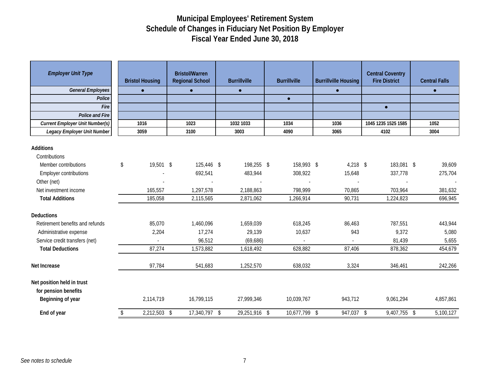| <b>Employer Unit Type</b>                                               | <b>Bristol Housing</b> | <b>Bristol/Warren</b><br><b>Regional School</b> | <b>Burrillville</b> | <b>Burrillville</b> | <b>Burrillville Housing</b> | <b>Central Coventry</b><br><b>Fire District</b> | <b>Central Falls</b> |
|-------------------------------------------------------------------------|------------------------|-------------------------------------------------|---------------------|---------------------|-----------------------------|-------------------------------------------------|----------------------|
| <b>General Employees</b>                                                | $\bullet$              | $\bullet$                                       | $\bullet$           |                     | $\bullet$                   |                                                 | $\bullet$            |
| Police                                                                  |                        |                                                 |                     | $\bullet$           |                             |                                                 |                      |
| Fire                                                                    |                        |                                                 |                     |                     |                             | $\bullet$                                       |                      |
| Police and Fire                                                         |                        |                                                 |                     |                     |                             |                                                 |                      |
| <b>Current Employer Unit Number(s)</b>                                  | 1016                   | 1023                                            | 1032 1033           | 1034                | 1036                        | 1045 1235 1525 1585                             | 1052                 |
| Legacy Employer Unit Number                                             | 3059                   | 3100                                            | 3003                | 4090                | 3065                        | 4102                                            | 3004                 |
| <b>Additions</b><br>Contributions<br>Member contributions               | \$<br>19,501 \$        | 125,446 \$                                      | 198,255 \$          | 158,993 \$          | $4,218$ \$                  | 183,081 \$                                      | 39,609               |
| <b>Employer contributions</b>                                           |                        | 692,541                                         | 483,944             | 308,922             | 15,648                      | 337,778                                         | 275,704              |
| Other (net)<br>Net investment income                                    | 165,557                | 1,297,578                                       | 2,188,863           | 798,999             | 70,865                      | 703,964                                         | 381,632              |
| <b>Total Additions</b>                                                  | 185,058                | 2,115,565                                       | 2,871,062           | 1,266,914           | 90,731                      | 1,224,823                                       | 696,945              |
|                                                                         |                        |                                                 |                     |                     |                             |                                                 |                      |
| Deductions                                                              |                        |                                                 |                     |                     |                             |                                                 |                      |
| Retirement benefits and refunds                                         | 85,070                 | 1,460,096                                       | 1,659,039           | 618,245             | 86,463                      | 787,551                                         | 443,944              |
| Administrative expense                                                  | 2,204                  | 17,274                                          | 29,139              | 10,637              | 943                         | 9,372                                           | 5,080                |
| Service credit transfers (net)                                          | $\sim$                 | 96,512                                          | (69, 686)           | $\sim$              | ä,                          | 81,439                                          | 5,655                |
| <b>Total Deductions</b>                                                 | 87,274                 | 1,573,882                                       | 1,618,492           | 628,882             | 87,406                      | 878,362                                         | 454,679              |
| Net Increase                                                            | 97,784                 | 541,683                                         | 1,252,570           | 638,032             | 3,324                       | 346,461                                         | 242,266              |
| Net position held in trust<br>for pension benefits<br>Beginning of year | 2,114,719              | 16,799,115                                      | 27,999,346          | 10,039,767          | 943,712                     | 9,061,294                                       | 4,857,861            |
| End of year                                                             | \$<br>2,212,503 \$     | 17,340,797 \$                                   | 29,251,916 \$       | 10,677,799 \$       | 947,037 \$                  | 9,407,755 \$                                    | 5,100,127            |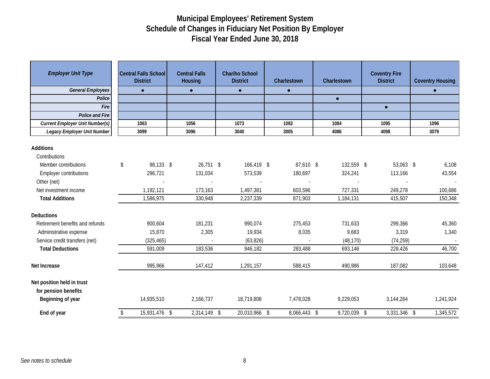| <b>Employer Unit Type</b>                                               | <b>Central Falls School</b><br><b>District</b> | <b>Central Falls</b><br>Housing | <b>Chariho School</b><br><b>District</b> | Charlestown |              | Charlestown  | <b>Coventry Fire</b><br><b>District</b> | <b>Coventry Housing</b> |
|-------------------------------------------------------------------------|------------------------------------------------|---------------------------------|------------------------------------------|-------------|--------------|--------------|-----------------------------------------|-------------------------|
| <b>General Employees</b>                                                | $\bullet$                                      | $\bullet$                       | $\bullet$                                | $\bullet$   |              |              |                                         | $\bullet$               |
| Police                                                                  |                                                |                                 |                                          |             |              | $\bullet$    |                                         |                         |
| Fire                                                                    |                                                |                                 |                                          |             |              |              | $\bullet$                               |                         |
| Police and Fire                                                         |                                                |                                 |                                          |             |              |              |                                         |                         |
| <b>Current Employer Unit Number(s)</b>                                  | 1063                                           | 1056                            | 1073                                     | 1082        |              | 1084         | 1095                                    | 1096                    |
| Legacy Employer Unit Number                                             | 3099                                           | 3096                            | 3040                                     | 3005        |              | 4086         | 4098                                    | 3079                    |
| <b>Additions</b><br>Contributions<br>Member contributions               | \$<br>98,133 \$                                | $26,751$ \$                     | 166,419 \$                               |             | 87,610 \$    | 132,559 \$   | 53,063 \$                               | 6,108                   |
| <b>Employer contributions</b>                                           | 296,721                                        | 131,034                         | 573,539                                  |             | 180,697      | 324,241      | 113,166                                 | 43,554                  |
| Other (net)                                                             | $\overline{\phantom{a}}$                       |                                 |                                          |             |              |              |                                         |                         |
| Net investment income                                                   | 1,192,121                                      | 173,163                         | 1,497,381                                |             | 603,596      | 727,331      | 249,278                                 | 100,686                 |
| <b>Total Additions</b>                                                  | 1,586,975                                      | 330,948                         | 2,237,339                                |             | 871,903      | 1,184,131    | 415,507                                 | 150,348                 |
| Deductions                                                              |                                                |                                 |                                          |             |              |              |                                         |                         |
| Retirement benefits and refunds                                         | 900,604                                        | 181,231                         | 990,074                                  |             | 275,453      | 731,633      | 299,366                                 | 45,360                  |
| Administrative expense                                                  | 15,870                                         | 2,305                           | 19,934                                   |             | 8,035        | 9,683        | 3,319                                   | 1,340                   |
| Service credit transfers (net)                                          | (325, 465)                                     | $\sim$                          | (63, 826)                                |             | $\sim$       | (48, 170)    | (74, 259)                               | $\sim$                  |
| <b>Total Deductions</b>                                                 | 591,009                                        | 183,536                         | 946,182                                  |             | 283,488      | 693,146      | 228,426                                 | 46,700                  |
| Net Increase                                                            | 995,966                                        | 147,412                         | 1,291,157                                |             | 588,415      | 490,986      | 187,082                                 | 103,648                 |
| Net position held in trust<br>for pension benefits<br>Beginning of year | 14,935,510                                     | 2,166,737                       | 18,719,808                               |             | 7,478,028    | 9,229,053    | 3,144,264                               | 1,241,924               |
| End of year                                                             | \$<br>15,931,476 \$                            | 2,314,149 \$                    | 20,010,966 \$                            |             | 8,066,443 \$ | 9,720,039 \$ | 3,331,346 \$                            | 1,345,572               |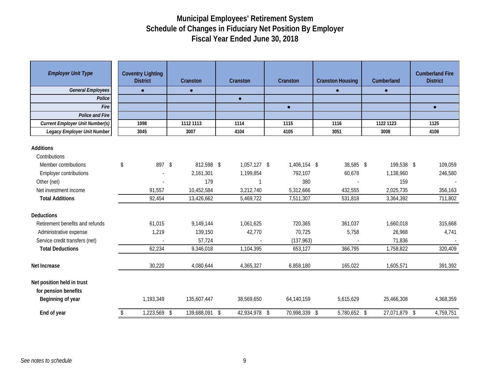| <b>Employer Unit Type</b>                                               | <b>Coventry Lighting</b><br><b>District</b> | Cranston       | Cranston       | Cranston      | <b>Cranston Housing</b> | Cumberland    | <b>Cumberland Fire</b><br><b>District</b> |
|-------------------------------------------------------------------------|---------------------------------------------|----------------|----------------|---------------|-------------------------|---------------|-------------------------------------------|
| <b>General Employees</b>                                                | $\bullet$                                   | $\bullet$      |                |               | $\bullet$               | $\bullet$     |                                           |
| Police                                                                  |                                             |                | $\bullet$      |               |                         |               |                                           |
| Fire                                                                    |                                             |                |                | $\bullet$     |                         |               | $\bullet$                                 |
| Police and Fire                                                         |                                             |                |                |               |                         |               |                                           |
| <b>Current Employer Unit Number(s)</b>                                  | 1098                                        | 1112 1113      | 1114           | 1115          | 1116                    | 1122 1123     | 1125                                      |
| Legacy Employer Unit Number                                             | 3045                                        | 3007           | 4104           | 4105          | 3051                    | 3008          | 4106                                      |
| <b>Additions</b><br>Contributions                                       |                                             |                |                |               |                         |               |                                           |
| Member contributions                                                    | \$<br>897 \$                                | 812,598 \$     | $1,057,127$ \$ | 1,406,154 \$  | 38,585 \$               | 199,538 \$    | 109,059                                   |
| <b>Employer contributions</b>                                           | $\overline{\phantom{a}}$                    | 2,161,301      | 1,199,854      | 792,107       | 60,678                  | 1,138,960     | 246,580                                   |
| Other (net)                                                             |                                             | 179            |                | 380           |                         | 159           |                                           |
| Net investment income                                                   | 91,557                                      | 10,452,584     | 3,212,740      | 5,312,666     | 432,555                 | 2,025,735     | 356,163                                   |
| <b>Total Additions</b>                                                  | 92,454                                      | 13,426,662     | 5,469,722      | 7,511,307     | 531,818                 | 3,364,392     | 711,802                                   |
| Deductions<br>Retirement benefits and refunds                           | 61,015                                      | 9,149,144      | 1,061,625      | 720,365       | 361,037                 | 1,660,018     | 315,668                                   |
| Administrative expense                                                  | 1,219                                       | 139,150        | 42,770         | 70,725        | 5,758                   | 26,968        | 4,741                                     |
| Service credit transfers (net)                                          | $\sim$                                      | 57,724         |                | (137, 963)    |                         | 71,836        |                                           |
| <b>Total Deductions</b>                                                 | 62,234                                      | 9,346,018      | 1,104,395      | 653,127       | 366,795                 | 1,758,822     | 320,409                                   |
|                                                                         |                                             |                |                |               |                         |               |                                           |
| Net Increase                                                            | 30,220                                      | 4,080,644      | 4,365,327      | 6,858,180     | 165,022                 | 1,605,571     | 391,392                                   |
| Net position held in trust<br>for pension benefits<br>Beginning of year | 1,193,349                                   | 135,607,447    | 38,569,650     | 64,140,159    | 5,615,629               | 25,466,308    | 4,368,359                                 |
| End of year                                                             | \$<br>1,223,569 \$                          | 139,688,091 \$ | 42,934,978 \$  | 70,998,339 \$ | 5,780,652 \$            | 27,071,879 \$ | 4,759,751                                 |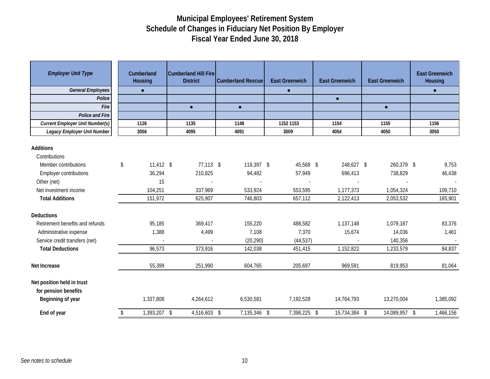| <b>Employer Unit Type</b>                                               | Cumberland<br>Housing | <b>Cumberland Hill Fire</b><br><b>District</b> | <b>Cumberland Rescue</b> | <b>East Greenwich</b> | <b>East Greenwich</b> | <b>East Greenwich</b> | <b>East Greenwich</b><br>Housing |
|-------------------------------------------------------------------------|-----------------------|------------------------------------------------|--------------------------|-----------------------|-----------------------|-----------------------|----------------------------------|
| <b>General Employees</b>                                                | $\bullet$             |                                                |                          | $\bullet$             |                       |                       | $\bullet$                        |
| Police                                                                  |                       |                                                |                          |                       | $\bullet$             |                       |                                  |
| Fire                                                                    |                       | $\bullet$                                      | $\bullet$                |                       |                       | $\bullet$             |                                  |
| Police and Fire                                                         |                       |                                                |                          |                       |                       |                       |                                  |
| <b>Current Employer Unit Number(s)</b>                                  | 1126                  | 1135                                           | 1148                     | 1152 1153             | 1154                  | 1155                  | 1156                             |
| Legacy Employer Unit Number                                             | 3056                  | 4095                                           | 4091                     | 3009                  | 4054                  | 4050                  | 3050                             |
| <b>Additions</b><br>Contributions<br>Member contributions               | \$<br>$11,412$ \$     | $77,113$ \$                                    | 118,397 \$               | 45,568 \$             | 248,627 \$            | 260,379 \$            | 9,753                            |
| <b>Employer contributions</b>                                           | 36,294                | 210,825                                        | 94,482                   | 57,949                | 696,413               | 738,829               | 46,438                           |
| Other (net)                                                             | 15                    |                                                |                          |                       |                       |                       |                                  |
| Net investment income                                                   | 104,251               | 337,969                                        | 533,924                  | 553,595               | 1,177,373             | 1,054,324             | 109,710                          |
| <b>Total Additions</b>                                                  | 151,972               | 625,907                                        | 746,803                  | 657,112               | 2,122,413             | 2,053,532             | 165,901                          |
|                                                                         |                       |                                                |                          |                       |                       |                       |                                  |
| Deductions                                                              |                       |                                                |                          |                       |                       |                       |                                  |
| Retirement benefits and refunds                                         | 95,185                | 369,417                                        | 155,220                  | 488,582               | 1,137,148             | 1,079,187             | 83,376                           |
| Administrative expense                                                  | 1,388                 | 4,499                                          | 7,108                    | 7,370                 | 15,674                | 14,036                | 1,461                            |
| Service credit transfers (net)                                          |                       |                                                | (20, 290)                | (44, 537)             | $\sim$                | 140,356               | $\omega$                         |
| <b>Total Deductions</b>                                                 | 96,573                | 373,916                                        | 142,038                  | 451,415               | 1,152,822             | 1,233,579             | 84,837                           |
| Net Increase                                                            | 55,399                | 251,990                                        | 604,765                  | 205,697               | 969,591               | 819,953               | 81,064                           |
| Net position held in trust<br>for pension benefits<br>Beginning of year | 1,337,808             | 4,264,612                                      | 6,530,581                | 7,192,528             | 14,764,793            | 13,270,004            | 1,385,092                        |
| End of year                                                             | \$<br>1,393,207 \$    | 4,516,603 \$                                   | 7,135,346 \$             | 7,398,225 \$          | 15,734,384 \$         | 14,089,957 \$         | 1,466,156                        |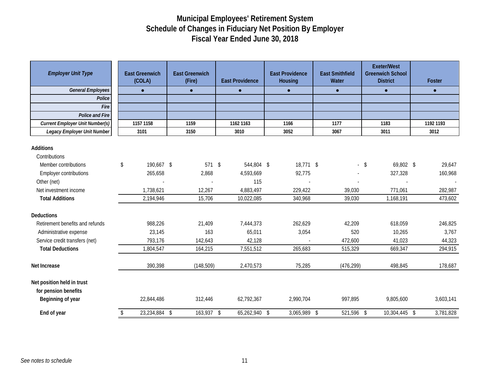| <b>Employer Unit Type</b>                                               | <b>East Greenwich</b><br>(COLA) | <b>East Greenwich</b><br>(Fire) | <b>East Providence</b> | <b>East Providence</b><br>Housing | <b>East Smithfield</b><br>Water |     | <b>Exeter/West</b><br><b>Greenwich School</b><br><b>District</b> | Foster    |
|-------------------------------------------------------------------------|---------------------------------|---------------------------------|------------------------|-----------------------------------|---------------------------------|-----|------------------------------------------------------------------|-----------|
| <b>General Employees</b>                                                | $\bullet$                       | $\bullet$                       | $\bullet$              | $\bullet$                         | $\bullet$                       |     | $\bullet$                                                        | $\bullet$ |
| Police                                                                  |                                 |                                 |                        |                                   |                                 |     |                                                                  |           |
| Fire                                                                    |                                 |                                 |                        |                                   |                                 |     |                                                                  |           |
| Police and Fire                                                         |                                 |                                 |                        |                                   |                                 |     |                                                                  |           |
| <b>Current Employer Unit Number(s)</b>                                  | 1157 1158                       | 1159                            | 1162 1163              | 1166                              | 1177                            |     | 1183                                                             | 1192 1193 |
| Legacy Employer Unit Number                                             | 3101                            | 3150                            | 3010                   | 3052                              | 3067                            |     | 3011                                                             | 3012      |
| <b>Additions</b><br>Contributions<br>Member contributions               | \$<br>190,667 \$                | $571$ \$                        | 544,804 \$             | $18,771$ \$                       | $\Delta \phi$                   | -\$ | 69,802 \$                                                        | 29,647    |
| <b>Employer contributions</b>                                           | 265,658                         | 2,868                           | 4,593,669              | 92,775                            |                                 |     | 327,328                                                          | 160,968   |
| Other (net)                                                             |                                 |                                 | 115                    |                                   |                                 |     |                                                                  |           |
| Net investment income                                                   | 1,738,621                       | 12,267                          | 4,883,497              | 229,422                           | 39,030                          |     | 771,061                                                          | 282,987   |
| <b>Total Additions</b>                                                  | 2,194,946                       | 15,706                          | 10,022,085             | 340,968                           | 39,030                          |     | 1,168,191                                                        | 473,602   |
|                                                                         |                                 |                                 |                        |                                   |                                 |     |                                                                  |           |
| <b>Deductions</b>                                                       |                                 |                                 |                        |                                   |                                 |     |                                                                  |           |
| Retirement benefits and refunds                                         | 988,226                         | 21,409                          | 7,444,373              | 262,629                           | 42,209                          |     | 618,059                                                          | 246,825   |
| Administrative expense                                                  | 23,145                          | 163                             | 65,011                 | 3,054                             | 520                             |     | 10,265                                                           | 3,767     |
| Service credit transfers (net)                                          | 793,176                         | 142,643                         | 42,128                 |                                   | 472,600                         |     | 41,023                                                           | 44,323    |
| <b>Total Deductions</b>                                                 | 1,804,547                       | 164,215                         | 7,551,512              | 265,683                           | 515,329                         |     | 669,347                                                          | 294,915   |
| Net Increase                                                            | 390,398                         | (148, 509)                      | 2,470,573              | 75,285                            | (476, 299)                      |     | 498,845                                                          | 178,687   |
| Net position held in trust<br>for pension benefits<br>Beginning of year | 22,844,486                      | 312,446                         | 62,792,367             | 2,990,704                         | 997,895                         |     | 9,805,600                                                        | 3,603,141 |
| End of year                                                             | \$<br>23,234,884 \$             | 163,937 \$                      | 65,262,940 \$          | 3,065,989 \$                      | 521,596 \$                      |     | 10,304,445 \$                                                    | 3,781,828 |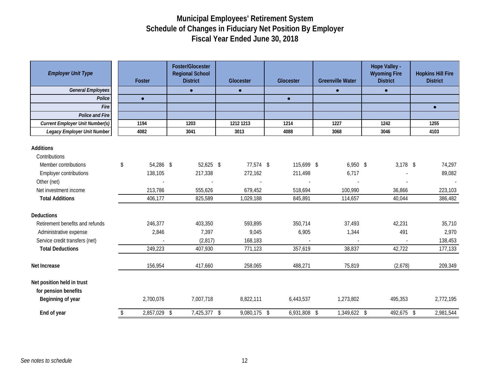| <b>Employer Unit Type</b>                                               | Foster             | <b>Foster/Glocester</b><br><b>Regional School</b><br><b>District</b> | Glocester    | Glocester    | <b>Greenville Water</b> | Hope Valley -<br><b>Wyoming Fire</b><br><b>District</b> | <b>Hopkins Hill Fire</b><br><b>District</b> |
|-------------------------------------------------------------------------|--------------------|----------------------------------------------------------------------|--------------|--------------|-------------------------|---------------------------------------------------------|---------------------------------------------|
| <b>General Employees</b>                                                |                    | $\bullet$                                                            | $\bullet$    |              | $\bullet$               | $\bullet$                                               |                                             |
| Police                                                                  | $\bullet$          |                                                                      |              | $\bullet$    |                         |                                                         |                                             |
| Fire                                                                    |                    |                                                                      |              |              |                         |                                                         | $\bullet$                                   |
| Police and Fire                                                         |                    |                                                                      |              |              |                         |                                                         |                                             |
| <b>Current Employer Unit Number(s)</b>                                  | 1194               | 1203                                                                 | 1212 1213    | 1214         | 1227                    | 1242                                                    | 1255                                        |
| Legacy Employer Unit Number                                             | 4082               | 3041                                                                 | 3013         | 4088         | 3068                    | 3046                                                    | 4103                                        |
| <b>Additions</b><br>Contributions                                       |                    |                                                                      |              |              |                         |                                                         |                                             |
| Member contributions                                                    | \$<br>54,286 \$    | $52,625$ \$                                                          | 77,574 \$    | 115,699 \$   | $6,950$ \$              | $3,178$ \$                                              | 74,297                                      |
| <b>Employer contributions</b>                                           | 138,105            | 217,338                                                              | 272,162      | 211,498      | 6,717                   |                                                         | 89,082                                      |
| Other (net)                                                             | $\sim$             |                                                                      |              |              |                         |                                                         |                                             |
| Net investment income                                                   | 213,786            | 555,626                                                              | 679,452      | 518,694      | 100,990                 | 36,866                                                  | 223,103                                     |
| <b>Total Additions</b>                                                  | 406,177            | 825,589                                                              | 1,029,188    | 845,891      | 114,657                 | 40,044                                                  | 386,482                                     |
| Deductions                                                              |                    |                                                                      |              |              |                         |                                                         |                                             |
| Retirement benefits and refunds                                         | 246,377            | 403,350                                                              | 593,895      | 350,714      | 37,493                  | 42,231                                                  | 35,710                                      |
| Administrative expense                                                  | 2,846              | 7,397                                                                | 9,045        | 6,905        | 1,344                   | 491                                                     | 2,970                                       |
| Service credit transfers (net)                                          | $\sim$             | (2, 817)                                                             | 168,183      | $\sim$       | $\sim$                  | $\sim$                                                  | 138,453                                     |
| <b>Total Deductions</b>                                                 | 249,223            | 407,930                                                              | 771,123      | 357,619      | 38,837                  | 42,722                                                  | 177,133                                     |
| Net Increase                                                            | 156,954            | 417,660                                                              | 258,065      | 488,271      | 75,819                  | (2,678)                                                 | 209,349                                     |
| Net position held in trust<br>for pension benefits<br>Beginning of year | 2,700,076          | 7,007,718                                                            | 8,822,111    | 6,443,537    | 1,273,802               | 495,353                                                 | 2,772,195                                   |
| End of year                                                             | \$<br>2,857,029 \$ | 7,425,377 \$                                                         | 9,080,175 \$ | 6,931,808 \$ | 1,349,622 \$            | 492,675 \$                                              | 2,981,544                                   |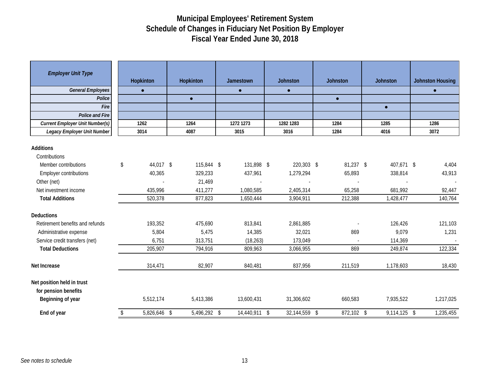| <b>Employer Unit Type</b>                                               | Hopkinton          | Hopkinton    | Jamestown     | <b>Johnston</b> | <b>Johnston</b> | <b>Johnston</b> | <b>Johnston Housing</b> |
|-------------------------------------------------------------------------|--------------------|--------------|---------------|-----------------|-----------------|-----------------|-------------------------|
| <b>General Employees</b>                                                | $\bullet$          |              | $\bullet$     | $\bullet$       |                 |                 | $\bullet$               |
| Police                                                                  |                    | $\bullet$    |               |                 | $\bullet$       |                 |                         |
| Fire                                                                    |                    |              |               |                 |                 | $\bullet$       |                         |
| <b>Police and Fire</b>                                                  |                    |              |               |                 |                 |                 |                         |
| <b>Current Employer Unit Number(s)</b>                                  | 1262               | 1264         | 1272 1273     | 1282 1283       | 1284            | 1285            | 1286                    |
| Legacy Employer Unit Number                                             | 3014               | 4087         | 3015          | 3016            | 1284            | 4016            | 3072                    |
| <b>Additions</b><br>Contributions<br>Member contributions               | \$<br>44,017 \$    | 115,844 \$   | 131,898 \$    | 220,303 \$      | $81,237$ \$     | 407,671 \$      | 4,404                   |
| <b>Employer contributions</b>                                           | 40,365             | 329,233      | 437,961       | 1,279,294       | 65,893          | 338,814         | 43,913                  |
| Other (net)                                                             |                    | 21,469       |               |                 |                 |                 |                         |
| Net investment income                                                   | 435,996            | 411,277      | 1,080,585     | 2,405,314       | 65,258          | 681,992         | 92,447                  |
| <b>Total Additions</b>                                                  | 520,378            | 877,823      | 1,650,444     | 3,904,911       | 212,388         | 1,428,477       | 140,764                 |
|                                                                         |                    |              |               |                 |                 |                 |                         |
| Deductions                                                              |                    |              |               |                 |                 |                 |                         |
| Retirement benefits and refunds                                         | 193,352            | 475,690      | 813,841       | 2,861,885       |                 | 126,426         | 121,103                 |
| Administrative expense                                                  | 5,804              | 5,475        | 14,385        | 32,021          | 869             | 9,079           | 1,231                   |
| Service credit transfers (net)                                          | 6,751              | 313,751      | (18, 263)     | 173,049         |                 | 114,369         |                         |
| <b>Total Deductions</b>                                                 | 205,907            | 794,916      | 809,963       | 3,066,955       | 869             | 249,874         | 122,334                 |
| Net Increase                                                            | 314,471            | 82,907       | 840,481       | 837,956         | 211,519         | 1,178,603       | 18,430                  |
| Net position held in trust<br>for pension benefits<br>Beginning of year | 5,512,174          | 5,413,386    | 13,600,431    | 31,306,602      | 660,583         | 7,935,522       | 1,217,025               |
| End of year                                                             | \$<br>5,826,646 \$ | 5,496,292 \$ | 14,440,911 \$ | 32,144,559 \$   | 872,102 \$      | 9,114,125 \$    | 1,235,455               |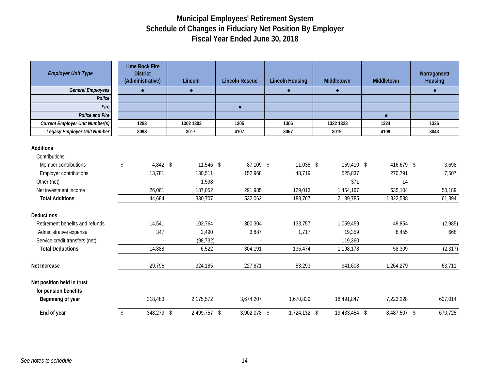| <b>Employer Unit Type</b>                                               | <b>Lime Rock Fire</b><br><b>District</b><br>(Administrative) | Lincoln      | <b>Lincoln Rescue</b> | <b>Lincoln Housing</b> | Middletown    | Middletown   | Narragansett<br>Housing |
|-------------------------------------------------------------------------|--------------------------------------------------------------|--------------|-----------------------|------------------------|---------------|--------------|-------------------------|
| <b>General Employees</b>                                                | $\bullet$                                                    | $\bullet$    |                       | $\bullet$              | $\bullet$     |              | $\bullet$               |
| Police                                                                  |                                                              |              |                       |                        |               |              |                         |
| Fire                                                                    |                                                              |              | $\bullet$             |                        |               |              |                         |
| Police and Fire                                                         |                                                              |              |                       |                        |               | $\bullet$    |                         |
| <b>Current Employer Unit Number(s)</b>                                  | 1293                                                         | 1302 1303    | 1305                  | 1306                   | 1322 1323     | 1324         | 1336                    |
| Legacy Employer Unit Number                                             | 3098                                                         | 3017         | 4107                  | 3057                   | 3019          | 4109         | 3043                    |
| <b>Additions</b><br>Contributions                                       |                                                              |              |                       |                        |               |              |                         |
| Member contributions                                                    | \$<br>4,842 \$                                               | 11,546 \$    | 87,109 \$             | $11,035$ \$            | 159,410 \$    | 416,679 \$   | 3,698                   |
| Employer contributions                                                  | 13,781                                                       | 130,511      | 152,968               | 48,719                 | 525,837       | 270,791      | 7,507                   |
| Other (net)                                                             |                                                              | 1,598        |                       |                        | 371           | 14           |                         |
| Net investment income                                                   | 26,061                                                       | 187,052      | 291,985               | 129,013                | 1,454,167     | 635,104      | 50,189                  |
| <b>Total Additions</b>                                                  | 44,684                                                       | 330,707      | 532,062               | 188,767                | 2,139,785     | 1,322,588    | 61,394                  |
| Deductions                                                              |                                                              |              |                       |                        |               |              |                         |
| Retirement benefits and refunds                                         | 14,541                                                       | 102,764      | 300,304               | 133,757                | 1,059,459     | 49,854       | (2,985)                 |
| Administrative expense                                                  | 347                                                          | 2,490        | 3,887                 | 1,717                  | 19,359        | 8,455        | 668                     |
| Service credit transfers (net)                                          | $\mathcal{L}_{\mathcal{A}}$                                  | (98, 732)    |                       |                        | 119,360       |              | $\sim$                  |
| <b>Total Deductions</b>                                                 | 14,888                                                       | 6,522        | 304,191               | 135,474                | 1,198,178     | 58,309       | (2, 317)                |
| Net Increase                                                            | 29,796                                                       | 324,185      | 227,871               | 53,293                 | 941,608       | 1,264,279    | 63,711                  |
| Net position held in trust<br>for pension benefits<br>Beginning of year | 318,483                                                      | 2,175,572    | 3,674,207             | 1,670,839              | 18,491,847    | 7,223,228    | 607,014                 |
| End of year                                                             | \$<br>348,279 \$                                             | 2,499,757 \$ | 3,902,078 \$          | 1,724,132 \$           | 19,433,454 \$ | 8,487,507 \$ | 670,725                 |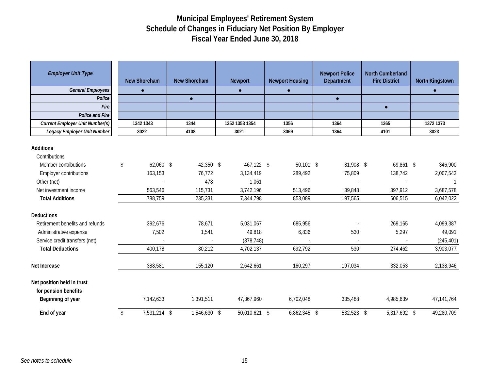| <b>Employer Unit Type</b>                                               | <b>New Shoreham</b> | <b>New Shoreham</b> |                          | <b>Newport</b> | <b>Newport Housing</b> | <b>Newport Police</b><br>Department | <b>North Cumberland</b><br><b>Fire District</b> | North Kingstown |
|-------------------------------------------------------------------------|---------------------|---------------------|--------------------------|----------------|------------------------|-------------------------------------|-------------------------------------------------|-----------------|
| <b>General Employees</b>                                                | $\bullet$           |                     |                          | $\bullet$      | $\bullet$              |                                     |                                                 | $\bullet$       |
| Police                                                                  |                     | $\bullet$           |                          |                |                        | $\bullet$                           |                                                 |                 |
| Fire                                                                    |                     |                     |                          |                |                        |                                     | $\bullet$                                       |                 |
| Police and Fire                                                         |                     |                     |                          |                |                        |                                     |                                                 |                 |
| <b>Current Employer Unit Number(s)</b>                                  | 1342 1343           | 1344                |                          | 1352 1353 1354 | 1356                   | 1364                                | 1365                                            | 1372 1373       |
| Legacy Employer Unit Number                                             | 3022                | 4108                |                          | 3021           | 3069                   | 1364                                | 4101                                            | 3023            |
| <b>Additions</b><br>Contributions                                       |                     |                     |                          |                |                        |                                     |                                                 |                 |
| Member contributions                                                    | \$<br>$62,060$ \$   |                     | $42,350$ \$              | 467,122 \$     | $50,101$ \$            | 81,908 \$                           | $69,861$ \$                                     | 346,900         |
| Employer contributions                                                  | 163,153             |                     | 76,772                   | 3,134,419      | 289,492                | 75,809                              | 138,742                                         | 2,007,543       |
| Other (net)                                                             |                     |                     | 478                      | 1,061          |                        |                                     |                                                 | $\mathbf{1}$    |
| Net investment income                                                   | 563,546             |                     | 115,731                  | 3,742,196      | 513,496                | 39,848                              | 397,912                                         | 3,687,578       |
| <b>Total Additions</b>                                                  | 788,759             |                     | 235,331                  | 7,344,798      | 853,089                | 197,565                             | 606,515                                         | 6,042,022       |
| Deductions                                                              |                     |                     |                          |                |                        |                                     |                                                 |                 |
| Retirement benefits and refunds                                         | 392,676             |                     | 78,671                   | 5,031,067      | 685,956                |                                     | 269,165                                         | 4,099,387       |
| Administrative expense                                                  | 7,502               |                     | 1,541                    | 49,818         | 6,836                  | 530                                 | 5,297                                           | 49,091          |
| Service credit transfers (net)                                          | $\sim$              |                     | $\overline{\phantom{a}}$ | (378, 748)     |                        | $\sim$                              |                                                 | (245, 401)      |
| <b>Total Deductions</b>                                                 | 400,178             |                     | 80,212                   | 4,702,137      | 692,792                | 530                                 | 274,462                                         | 3,903,077       |
| Net Increase                                                            | 388,581             |                     | 155,120                  | 2,642,661      | 160,297                | 197,034                             | 332,053                                         | 2,138,946       |
| Net position held in trust<br>for pension benefits<br>Beginning of year | 7,142,633           |                     | 1,391,511                | 47,367,960     | 6,702,048              | 335,488                             | 4,985,639                                       | 47,141,764      |
| End of year                                                             | \$<br>7,531,214 \$  |                     | 1,546,630 \$             | 50,010,621 \$  | $6,862,345$ \$         | 532,523 \$                          | 5,317,692 \$                                    | 49,280,709      |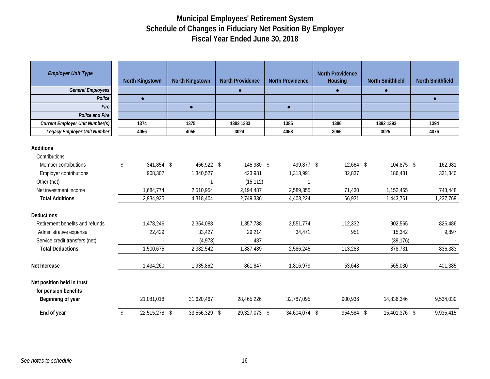| <b>Employer Unit Type</b>                                               | <b>North Kingstown</b> | <b>North Kingstown</b> | <b>North Providence</b> | <b>North Providence</b> | <b>North Providence</b><br>Housing | <b>North Smithfield</b> | <b>North Smithfield</b> |
|-------------------------------------------------------------------------|------------------------|------------------------|-------------------------|-------------------------|------------------------------------|-------------------------|-------------------------|
| <b>General Employees</b>                                                |                        |                        | $\bullet$               |                         | $\bullet$                          | $\bullet$               |                         |
| Police                                                                  | $\bullet$              |                        |                         |                         |                                    |                         | $\bullet$               |
| Fire                                                                    |                        | $\bullet$              |                         | $\bullet$               |                                    |                         |                         |
| Police and Fire                                                         |                        |                        |                         |                         |                                    |                         |                         |
| <b>Current Employer Unit Number(s)</b>                                  | 1374                   | 1375                   | 1382 1383               | 1385                    | 1386                               | 1392 1393               | 1394                    |
| Legacy Employer Unit Number                                             | 4056                   | 4055                   | 3024                    | 4058                    | 3066                               | 3025                    | 4076                    |
| <b>Additions</b><br>Contributions<br>Member contributions               | \$<br>341,854 \$       | 466,922 \$             | 145,980 \$              | 499,877 \$              | $12,664$ \$                        | 104,875 \$              | 162,981                 |
| <b>Employer contributions</b>                                           | 908,307                | 1,340,527              | 423,981                 | 1,313,991               | 82,837                             | 186,431                 | 331,340                 |
| Other (net)                                                             |                        |                        | (15, 112)               |                         |                                    |                         |                         |
| Net investment income                                                   | 1,684,774              | 2,510,954              | 2,194,487               | 2,589,355               | 71,430                             | 1,152,455               | 743,448                 |
| <b>Total Additions</b>                                                  | 2,934,935              | 4,318,404              | 2,749,336               | 4,403,224               | 166,931                            | 1,443,761               | 1,237,769               |
| Deductions<br>Retirement benefits and refunds                           | 1,478,246              | 2,354,088              | 1,857,788               | 2,551,774               | 112,332                            | 902,565                 | 826,486                 |
| Administrative expense                                                  | 22,429                 | 33,427                 | 29,214                  | 34,471                  | 951                                | 15,342                  | 9,897                   |
| Service credit transfers (net)                                          |                        | (4, 973)               | 487                     |                         | $\overline{\phantom{a}}$           | (39, 176)               | $\sim$                  |
| <b>Total Deductions</b>                                                 | 1,500,675              | 2,382,542              | 1,887,489               | 2,586,245               | 113,283                            | 878,731                 | 836,383                 |
| Net Increase                                                            | 1,434,260              | 1,935,862              | 861,847                 | 1,816,979               | 53,648                             | 565,030                 | 401,385                 |
| Net position held in trust<br>for pension benefits<br>Beginning of year | 21,081,018             | 31,620,467             | 28,465,226              | 32,787,095              | 900,936                            | 14,836,346              | 9,534,030               |
| End of year                                                             | \$<br>22,515,278 \$    | 33,556,329 \$          | 29,327,073 \$           | 34,604,074 \$           | 954,584 \$                         | 15,401,376 \$           | 9,935,415               |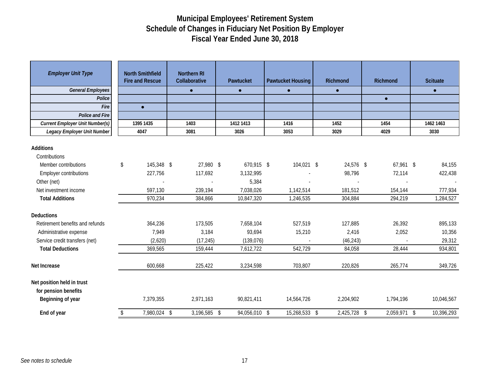| <b>Employer Unit Type</b>                                               | <b>North Smithfield</b><br><b>Fire and Rescue</b> | <b>Northern RI</b><br>Collaborative | Pawtucket     | <b>Pawtucket Housing</b> | Richmond     | Richmond     | <b>Scituate</b> |
|-------------------------------------------------------------------------|---------------------------------------------------|-------------------------------------|---------------|--------------------------|--------------|--------------|-----------------|
| <b>General Employees</b>                                                |                                                   | $\bullet$                           | $\bullet$     | $\bullet$                | $\bullet$    |              | $\bullet$       |
| Police                                                                  |                                                   |                                     |               |                          |              | $\bullet$    |                 |
| Fire                                                                    | $\bullet$                                         |                                     |               |                          |              |              |                 |
| Police and Fire                                                         |                                                   |                                     |               |                          |              |              |                 |
| <b>Current Employer Unit Number(s)</b>                                  | 1395 1435                                         | 1403                                | 1412 1413     | 1416                     | 1452         | 1454         | 1462 1463       |
| Legacy Employer Unit Number                                             | 4047                                              | 3081                                | 3026          | 3053                     | 3029         | 4029         | 3030            |
| <b>Additions</b><br>Contributions<br>Member contributions               | \$<br>145,348 \$                                  | 27,980 \$                           | 670,915 \$    | 104,021 \$               | 24,576 \$    | $67,961$ \$  | 84,155          |
| <b>Employer contributions</b>                                           | 227,756                                           | 117,692                             | 3,132,995     |                          | 98,796       | 72,114       | 422,438         |
| Other (net)                                                             |                                                   |                                     | 5,384         |                          |              |              |                 |
| Net investment income                                                   | 597,130                                           | 239,194                             | 7,038,026     | 1,142,514                | 181,512      | 154,144      | 777,934         |
| <b>Total Additions</b>                                                  | 970,234                                           | 384,866                             | 10,847,320    | 1,246,535                | 304,884      | 294,219      | 1,284,527       |
|                                                                         |                                                   |                                     |               |                          |              |              |                 |
| Deductions                                                              |                                                   |                                     |               |                          |              |              |                 |
| Retirement benefits and refunds                                         | 364,236                                           | 173,505                             | 7,658,104     | 527,519                  | 127,885      | 26,392       | 895,133         |
| Administrative expense                                                  | 7,949                                             | 3,184                               | 93,694        | 15,210                   | 2,416        | 2,052        | 10,356          |
| Service credit transfers (net)                                          | (2,620)                                           | (17, 245)                           | (139, 076)    |                          | (46, 243)    |              | 29,312          |
| <b>Total Deductions</b>                                                 | 369,565                                           | 159,444                             | 7,612,722     | 542,729                  | 84,058       | 28,444       | 934,801         |
| Net Increase                                                            | 600,668                                           | 225,422                             | 3,234,598     | 703,807                  | 220,826      | 265,774      | 349,726         |
| Net position held in trust<br>for pension benefits<br>Beginning of year | 7,379,355                                         | 2,971,163                           | 90,821,411    | 14,564,726               | 2,204,902    | 1,794,196    | 10,046,567      |
| End of year                                                             | \$<br>7,980,024 \$                                | 3,196,585 \$                        | 94,056,010 \$ | 15,268,533 \$            | 2,425,728 \$ | 2,059,971 \$ | 10,396,293      |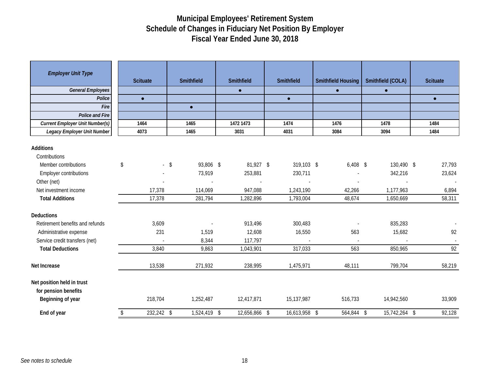| <b>Employer Unit Type</b>                                               | <b>Scituate</b>  | Smithfield   | Smithfield    | Smithfield |               | <b>Smithfield Housing</b> | Smithfield (COLA) | <b>Scituate</b> |
|-------------------------------------------------------------------------|------------------|--------------|---------------|------------|---------------|---------------------------|-------------------|-----------------|
| <b>General Employees</b>                                                |                  |              | $\bullet$     |            |               | $\bullet$                 | $\bullet$         |                 |
| Police                                                                  | $\bullet$        |              |               | $\bullet$  |               |                           |                   | $\bullet$       |
| Fire                                                                    |                  | $\bullet$    |               |            |               |                           |                   |                 |
| Police and Fire                                                         |                  |              |               |            |               |                           |                   |                 |
| <b>Current Employer Unit Number(s)</b>                                  | 1464             | 1465         | 1472 1473     | 1474       |               | 1476                      | 1478              | 1484            |
| Legacy Employer Unit Number                                             | 4073             | 1465         | 3031          | 4031       |               | 3084                      | 3094              | 1484            |
| <b>Additions</b><br>Contributions                                       |                  |              |               |            |               |                           |                   |                 |
| Member contributions                                                    | \$<br>$-$ \$     | 93,806 \$    | 81,927 \$     |            | 319,103 \$    | $6,408$ \$                | 130,490 \$        | 27,793          |
| Employer contributions<br>Other (net)                                   |                  | 73,919       | 253,881       |            | 230,711       |                           | 342,216           | 23,624          |
| Net investment income                                                   | 17,378           | 114,069      | 947,088       |            | 1,243,190     | 42,266                    | 1,177,963         | 6,894           |
| <b>Total Additions</b>                                                  | 17,378           | 281,794      | 1,282,896     |            | 1,793,004     | 48,674                    | 1,650,669         | 58,311          |
|                                                                         |                  |              |               |            |               |                           |                   |                 |
| <b>Deductions</b>                                                       |                  |              |               |            |               |                           |                   |                 |
| Retirement benefits and refunds                                         | 3,609            |              | 913,496       |            | 300,483       |                           | 835,283           |                 |
| Administrative expense                                                  | 231              | 1,519        | 12,608        |            | 16,550        | 563                       | 15,682            | 92              |
| Service credit transfers (net)                                          | $\mathcal{L}$    | 8,344        | 117,797       |            | $\sim$        | $\sim$                    |                   | $\sim$          |
| <b>Total Deductions</b>                                                 | 3,840            | 9,863        | 1,043,901     |            | 317,033       | 563                       | 850,965           | 92              |
| Net Increase                                                            | 13,538           | 271,932      | 238,995       |            | 1,475,971     | 48,111                    | 799,704           | 58,219          |
| Net position held in trust<br>for pension benefits<br>Beginning of year | 218,704          | 1,252,487    | 12,417,871    |            | 15,137,987    | 516,733                   | 14,942,560        | 33,909          |
| End of year                                                             | \$<br>232,242 \$ | 1,524,419 \$ | 12,656,866 \$ |            | 16,613,958 \$ | 564,844 \$                | 15,742,264 \$     | 92,128          |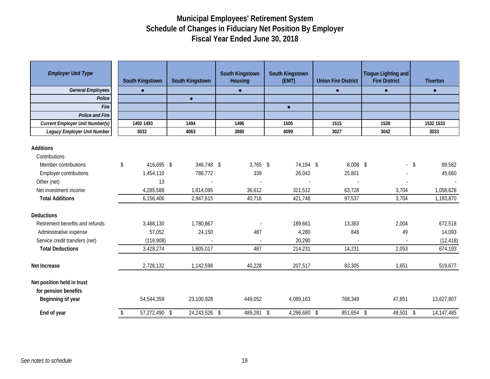| <b>Employer Unit Type</b>                                               | South Kingstown     | <b>South Kingstown</b> | South Kingstown<br>Housing | South Kingstown<br>(EMT) | <b>Union Fire District</b> | <b>Tiogue Lighting and</b><br><b>Fire District</b> | Tiverton       |
|-------------------------------------------------------------------------|---------------------|------------------------|----------------------------|--------------------------|----------------------------|----------------------------------------------------|----------------|
| <b>General Employees</b>                                                | $\bullet$           |                        | $\bullet$                  |                          | $\bullet$                  | $\bullet$                                          | $\bullet$      |
| Police                                                                  |                     | $\bullet$              |                            |                          |                            |                                                    |                |
| Fire                                                                    |                     |                        |                            | $\bullet$                |                            |                                                    |                |
| Police and Fire                                                         |                     |                        |                            |                          |                            |                                                    |                |
| <b>Current Employer Unit Number(s)</b>                                  | 1492 1493           | 1494                   | 1496                       | 1505                     | 1515                       | 1528                                               | 1532 1533      |
| Legacy Employer Unit Number                                             | 3032                | 4063                   | 3080                       | 4099                     | 3027                       | 3042                                               | 3033           |
| <b>Additions</b><br>Contributions                                       |                     |                        |                            |                          |                            |                                                    |                |
| Member contributions                                                    | \$<br>416,695 \$    | 346,748 \$             | $3,765$ \$                 | 74,194 \$                | 8,008 \$                   |                                                    | 89,582<br>$-5$ |
| <b>Employer contributions</b>                                           | 1,454,110           | 786,772                | 339                        | 26,042                   | 25,801                     |                                                    | 45,660         |
| Other (net)                                                             | 13                  |                        |                            |                          |                            |                                                    |                |
| Net investment income                                                   | 4,285,588           | 1,814,095              | 36,612                     | 321,512                  | 63,728                     | 3,704                                              | 1,058,628      |
| <b>Total Additions</b>                                                  | 6,156,406           | 2,947,615              | 40,716                     | 421,748                  | 97,537                     | 3,704                                              | 1,193,870      |
| Deductions                                                              |                     |                        |                            |                          |                            |                                                    |                |
| Retirement benefits and refunds                                         | 3,488,130           | 1,780,867              |                            | 189,661                  | 13,383                     | 2,004                                              | 672,518        |
| Administrative expense                                                  | 57,052              | 24,150                 | 487                        | 4,280                    | 848                        | 49                                                 | 14,093         |
| Service credit transfers (net)                                          | (116,908)           |                        |                            | 20,290                   |                            |                                                    | (12, 418)      |
| <b>Total Deductions</b>                                                 | 3,428,274           | 1,805,017              | 487                        | 214,231                  | 14,231                     | 2,053                                              | 674,193        |
| Net Increase                                                            | 2,728,132           | 1,142,598              | 40,228                     | 207,517                  | 83,305                     | 1,651                                              | 519,677        |
| Net position held in trust<br>for pension benefits<br>Beginning of year | 54,544,359          | 23,100,928             | 449,052                    | 4,089,163                | 768,349                    | 47,851                                             | 13,627,807     |
| End of year                                                             | \$<br>57,272,490 \$ | 24,243,526 \$          | 489,281 \$                 | 4,296,680 \$             | 851,654 \$                 | 49,501 \$                                          | 14,147,485     |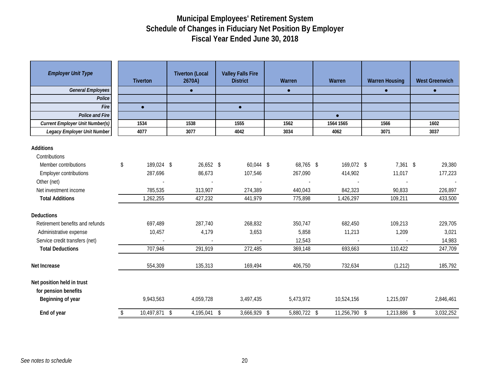| <b>Employer Unit Type</b>                                               | <b>Tiverton</b>     | <b>Tiverton (Local</b><br>2670A) | <b>Valley Falls Fire</b><br><b>District</b> | Warren       | Warren         | <b>Warren Housing</b> | <b>West Greenwich</b> |
|-------------------------------------------------------------------------|---------------------|----------------------------------|---------------------------------------------|--------------|----------------|-----------------------|-----------------------|
| <b>General Employees</b>                                                |                     | $\bullet$                        |                                             | $\bullet$    |                | $\bullet$             | $\bullet$             |
| Police                                                                  |                     |                                  |                                             |              |                |                       |                       |
| Fire                                                                    | $\bullet$           |                                  | $\bullet$                                   |              |                |                       |                       |
| Police and Fire                                                         |                     |                                  |                                             |              | $\bullet$      |                       |                       |
| <b>Current Employer Unit Number(s)</b>                                  | 1534                | 1538                             | 1555                                        | 1562         | 1564 1565      | 1566                  | 1602                  |
| Legacy Employer Unit Number                                             | 4077                | 3077                             | 4042                                        | 3034         | 4062           | 3071                  | 3037                  |
| <b>Additions</b><br>Contributions<br>Member contributions               | \$<br>189,024 \$    | $26,652$ \$                      | $60,044$ \$                                 | 68,765 \$    | 169,072 \$     | $7,361$ \$            | 29,380                |
| <b>Employer contributions</b>                                           | 287,696             | 86,673                           | 107,546                                     | 267,090      | 414,902        | 11,017                | 177,223               |
| Other (net)                                                             |                     |                                  |                                             |              |                |                       |                       |
| Net investment income                                                   | 785,535             | 313,907                          | 274,389                                     | 440,043      | 842,323        | 90,833                | 226,897               |
| <b>Total Additions</b>                                                  | 1,262,255           | 427,232                          | 441,979                                     | 775,898      | 1,426,297      | 109,211               | 433,500               |
|                                                                         |                     |                                  |                                             |              |                |                       |                       |
| <b>Deductions</b>                                                       |                     |                                  |                                             |              |                |                       |                       |
| Retirement benefits and refunds                                         | 697,489             | 287,740                          | 268,832                                     | 350,747      | 682,450        | 109,213               | 229,705               |
| Administrative expense                                                  | 10,457              | 4,179                            | 3,653                                       | 5,858        | 11,213         | 1,209                 | 3,021                 |
| Service credit transfers (net)                                          | $\sim$              | $\blacksquare$                   |                                             | 12,543       | $\blacksquare$ |                       | 14,983                |
| <b>Total Deductions</b>                                                 | 707,946             | 291,919                          | 272,485                                     | 369,148      | 693,663        | 110,422               | 247,709               |
| Net Increase                                                            | 554,309             | 135,313                          | 169,494                                     | 406,750      | 732,634        | (1, 212)              | 185,792               |
| Net position held in trust<br>for pension benefits<br>Beginning of year | 9,943,563           | 4,059,728                        | 3,497,435                                   | 5,473,972    | 10,524,156     | 1,215,097             | 2,846,461             |
| End of year                                                             | \$<br>10,497,871 \$ | 4,195,041 \$                     | 3,666,929 \$                                | 5,880,722 \$ | 11,256,790 \$  | 1,213,886 \$          | 3,032,252             |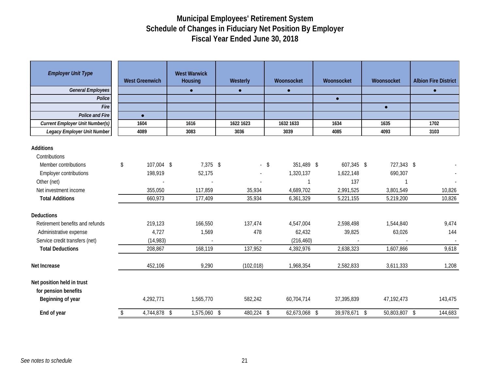| <b>Employer Unit Type</b>                                                      | <b>West Greenwich</b> | <b>West Warwick</b><br><b>Housing</b> | Westerly       | Woonsocket           | Woonsocket          | Woonsocket          | <b>Albion Fire District</b> |
|--------------------------------------------------------------------------------|-----------------------|---------------------------------------|----------------|----------------------|---------------------|---------------------|-----------------------------|
| <b>General Employees</b>                                                       |                       | $\bullet$                             | $\bullet$      | $\bullet$            |                     |                     | $\bullet$                   |
| Police                                                                         |                       |                                       |                |                      | $\bullet$           |                     |                             |
| Fire                                                                           |                       |                                       |                |                      |                     | $\bullet$           |                             |
| Police and Fire                                                                | $\bullet$             |                                       |                |                      |                     |                     |                             |
| <b>Current Employer Unit Number(s)</b>                                         | 1604                  | 1616                                  | 1622 1623      | 1632 1633            | 1634                | 1635                | 1702                        |
| Legacy Employer Unit Number                                                    | 4089                  | 3083                                  | 3036           | 3039                 | 4085                | 4093                | 3103                        |
| <b>Additions</b><br>Contributions                                              |                       |                                       |                |                      |                     |                     |                             |
| Member contributions                                                           | \$<br>107,004 \$      | 7,375 \$                              |                | 351,489 \$<br>$-$ \$ | 607,345 \$          | 727,343 \$          |                             |
| <b>Employer contributions</b>                                                  | 198,919               | 52,175                                |                | 1,320,137            | 1,622,148           | 690,307             |                             |
| Other (net)                                                                    | $\sim$                |                                       |                | $\overline{1}$       | 137                 |                     | $\sim$                      |
| Net investment income                                                          | 355,050               | 117,859                               | 35,934         | 4,689,702            | 2,991,525           | 3,801,549           | 10,826                      |
| <b>Total Additions</b>                                                         | 660,973               | 177,409                               | 35,934         | 6,361,329            | 5,221,155           | 5,219,200           | 10,826                      |
| <b>Deductions</b><br>Retirement benefits and refunds<br>Administrative expense | 219,123<br>4,727      | 166,550<br>1,569                      | 137,474<br>478 | 4,547,004<br>62,432  | 2,598,498<br>39,825 | 1,544,840<br>63,026 | 9,474<br>144                |
| Service credit transfers (net)                                                 | (14,983)              |                                       |                | (216, 460)           |                     |                     | $\sim$                      |
| <b>Total Deductions</b>                                                        | 208,867               | 168,119                               | 137,952        | 4,392,976            | 2,638,323           | 1,607,866           | 9,618                       |
| Net Increase                                                                   | 452,106               | 9,290                                 | (102, 018)     | 1,968,354            | 2,582,833           | 3,611,333           | 1,208                       |
| Net position held in trust<br>for pension benefits<br>Beginning of year        | 4,292,771             | 1,565,770                             | 582,242        | 60,704,714           | 37,395,839          | 47,192,473          | 143,475                     |
| End of year                                                                    | \$<br>4,744,878 \$    | 1,575,060 \$                          | 480,224 \$     | 62,673,068 \$        | 39,978,671 \$       | 50,803,807 \$       | 144,683                     |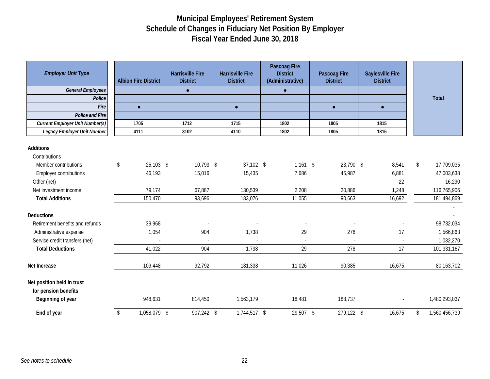| <b>Employer Unit Type</b>                                                                                                                   | <b>Albion Fire District</b> | <b>Harrisville Fire</b><br><b>District</b>               | <b>Harrisville Fire</b><br><b>District</b> | <b>Pascoag Fire</b><br><b>District</b><br>(Administrative) | Pascoag Fire<br><b>District</b> | <b>Saylesville Fire</b><br><b>District</b> |                                                     |
|---------------------------------------------------------------------------------------------------------------------------------------------|-----------------------------|----------------------------------------------------------|--------------------------------------------|------------------------------------------------------------|---------------------------------|--------------------------------------------|-----------------------------------------------------|
| <b>General Employees</b>                                                                                                                    |                             | $\bullet$                                                |                                            | $\bullet$                                                  |                                 |                                            |                                                     |
| Police                                                                                                                                      |                             |                                                          |                                            |                                                            |                                 |                                            | <b>Total</b>                                        |
| Fire                                                                                                                                        | $\bullet$                   |                                                          | $\bullet$                                  |                                                            | $\bullet$                       | $\bullet$                                  |                                                     |
| <b>Police and Fire</b>                                                                                                                      |                             |                                                          |                                            |                                                            |                                 |                                            |                                                     |
| <b>Current Employer Unit Number(s)</b>                                                                                                      | 1705                        | 1712                                                     | 1715                                       | 1802                                                       | 1805                            | 1815                                       |                                                     |
| Legacy Employer Unit Number                                                                                                                 | 4111                        | 3102                                                     | 4110                                       | 1802                                                       | 1805                            | 1815                                       |                                                     |
| <b>Additions</b><br>Contributions<br>Member contributions                                                                                   | $25,103$ \$<br>\$           | 10,793 \$                                                | $37,102$ \$                                | $1,161$ \$                                                 | 23,790 \$                       | 8,541                                      | 17,709,035<br>\$                                    |
| <b>Employer contributions</b>                                                                                                               | 46,193                      | 15,016                                                   | 15,435                                     | 7,686                                                      | 45,987                          | 6,881                                      | 47,003,638                                          |
| Other (net)                                                                                                                                 |                             |                                                          |                                            |                                                            |                                 | 22                                         | 16,290                                              |
| Net investment income                                                                                                                       | 79,174                      | 67,887                                                   | 130,539                                    | 2,208                                                      | 20,886                          | 1,248                                      | 116,765,906                                         |
| <b>Total Additions</b>                                                                                                                      | 150,470                     | 93,696                                                   | 183,076                                    | 11,055                                                     | 90,663                          | 16,692                                     | 181,494,869                                         |
| <b>Deductions</b><br>Retirement benefits and refunds<br>Administrative expense<br>Service credit transfers (net)<br><b>Total Deductions</b> | 39,968<br>1,054<br>41,022   | $\overline{\phantom{a}}$<br>904<br>$\blacksquare$<br>904 | 1,738<br>1,738                             | 29<br>29                                                   | 278<br>278                      | $\sim$<br>17<br>$\sim$<br>$17 -$           | 98,732,034<br>1,566,863<br>1,032,270<br>101,331,167 |
| Net Increase                                                                                                                                | 109,448                     | 92,792                                                   | 181,338                                    | 11,026                                                     | 90,385                          | 16,675 -                                   | 80,163,702                                          |
| Net position held in trust<br>for pension benefits<br>Beginning of year                                                                     | 948,631                     | 814,450                                                  | 1,563,179                                  | 18,481                                                     | 188,737                         |                                            | 1,480,293,037                                       |
| End of year                                                                                                                                 | 1,058,079 \$<br>\$          | 907,242 \$                                               | 1,744,517 \$                               | 29,507 \$                                                  | 279,122 \$                      | 16,675                                     | 1,560,456,739<br>\$                                 |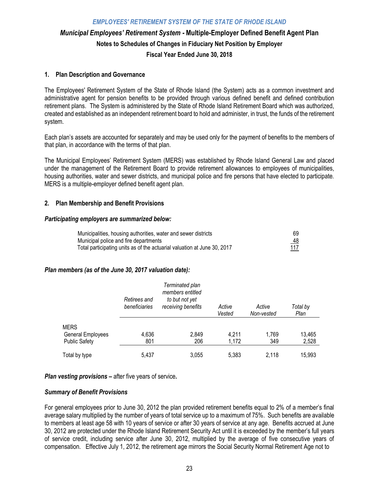### *Municipal Employees' Retirement System -* **Multiple-Employer Defined Benefit Agent Plan Notes to Schedules of Changes in Fiduciary Net Position by Employer Fiscal Year Ended June 30, 2018**

#### **1. Plan Description and Governance**

The Employees' Retirement System of the State of Rhode Island (the System) acts as a common investment and administrative agent for pension benefits to be provided through various defined benefit and defined contribution retirement plans. The System is administered by the State of Rhode Island Retirement Board which was authorized, created and established as an independent retirement board to hold and administer, in trust, the funds of the retirement system.

Each plan's assets are accounted for separately and may be used only for the payment of benefits to the members of that plan, in accordance with the terms of that plan.

The Municipal Employees' Retirement System (MERS) was established by Rhode Island General Law and placed under the management of the Retirement Board to provide retirement allowances to employees of municipalities, housing authorities, water and sewer districts, and municipal police and fire persons that have elected to participate. MERS is a multiple-employer defined benefit agent plan.

#### **2. Plan Membership and Benefit Provisions**

#### *Participating employers are summarized below:*

| Municipalities, housing authorities, water and sewer districts           | 69  |
|--------------------------------------------------------------------------|-----|
| Municipal police and fire departments                                    | 48  |
| Total participating units as of the actuarial valuation at June 30, 2017 | 117 |

#### *Plan members (as of the June 30, 2017 valuation date):*

|                          | Retirees and<br>beneficiaries | Terminated plan<br>members entitled<br>to but not yet<br>receiving benefits | Active<br>Vested | Active<br>Non-vested | Total by<br>Plan |
|--------------------------|-------------------------------|-----------------------------------------------------------------------------|------------------|----------------------|------------------|
| <b>MERS</b>              |                               |                                                                             |                  |                      |                  |
| <b>General Employees</b> | 4,636                         | 2,849                                                                       | 4.211            | 1,769                | 13,465           |
| <b>Public Safety</b>     | 801                           | 206                                                                         | 1,172            | 349                  | 2,528            |
| Total by type            | 5.437                         | 3,055                                                                       | 5,383            | 2.118                | 15,993           |

*Plan vesting provisions –* after five years of service*.* 

#### *Summary of Benefit Provisions*

For general employees prior to June 30, 2012 the plan provided retirement benefits equal to 2% of a member's final average salary multiplied by the number of years of total service up to a maximum of 75%. Such benefits are available to members at least age 58 with 10 years of service or after 30 years of service at any age. Benefits accrued at June 30, 2012 are protected under the Rhode Island Retirement Security Act until it is exceeded by the member's full years of service credit, including service after June 30, 2012, multiplied by the average of five consecutive years of compensation. Effective July 1, 2012, the retirement age mirrors the Social Security Normal Retirement Age not to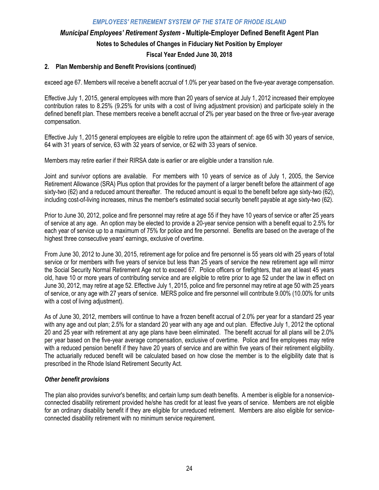### *Municipal Employees' Retirement System -* **Multiple-Employer Defined Benefit Agent Plan Notes to Schedules of Changes in Fiduciary Net Position by Employer Fiscal Year Ended June 30, 2018**

#### **2. Plan Membership and Benefit Provisions (continued)**

exceed age 67. Members will receive a benefit accrual of 1.0% per year based on the five-year average compensation.

Effective July 1, 2015, general employees with more than 20 years of service at July 1, 2012 increased their employee contribution rates to 8.25% (9.25% for units with a cost of living adjustment provision) and participate solely in the defined benefit plan. These members receive a benefit accrual of 2% per year based on the three or five-year average compensation.

Effective July 1, 2015 general employees are eligible to retire upon the attainment of: age 65 with 30 years of service, 64 with 31 years of service, 63 with 32 years of service, or 62 with 33 years of service.

Members may retire earlier if their RIRSA date is earlier or are eligible under a transition rule.

Joint and survivor options are available. For members with 10 years of service as of July 1, 2005, the Service Retirement Allowance (SRA) Plus option that provides for the payment of a larger benefit before the attainment of age sixty-two (62) and a reduced amount thereafter. The reduced amount is equal to the benefit before age sixty-two (62), including cost-of-living increases, minus the member's estimated social security benefit payable at age sixty-two (62).

Prior to June 30, 2012, police and fire personnel may retire at age 55 if they have 10 years of service or after 25 years of service at any age. An option may be elected to provide a 20-year service pension with a benefit equal to 2.5% for each year of service up to a maximum of 75% for police and fire personnel. Benefits are based on the average of the highest three consecutive years' earnings, exclusive of overtime.

From June 30, 2012 to June 30, 2015, retirement age for police and fire personnel is 55 years old with 25 years of total service or for members with five years of service but less than 25 years of service the new retirement age will mirror the Social Security Normal Retirement Age not to exceed 67. Police officers or firefighters, that are at least 45 years old, have 10 or more years of contributing service and are eligible to retire prior to age 52 under the law in effect on June 30, 2012, may retire at age 52. Effective July 1, 2015, police and fire personnel may retire at age 50 with 25 years of service, or any age with 27 years of service. MERS police and fire personnel will contribute 9.00% (10.00% for units with a cost of living adjustment).

As of June 30, 2012, members will continue to have a frozen benefit accrual of 2.0% per year for a standard 25 year with any age and out plan; 2.5% for a standard 20 year with any age and out plan. Effective July 1, 2012 the optional 20 and 25 year with retirement at any age plans have been eliminated. The benefit accrual for all plans will be 2.0% per year based on the five-year average compensation, exclusive of overtime. Police and fire employees may retire with a reduced pension benefit if they have 20 years of service and are within five years of their retirement eligibility. The actuarially reduced benefit will be calculated based on how close the member is to the eligibility date that is prescribed in the Rhode Island Retirement Security Act.

#### *Other benefit provisions*

The plan also provides survivor's benefits; and certain lump sum death benefits. A member is eligible for a nonserviceconnected disability retirement provided he/she has credit for at least five years of service. Members are not eligible for an ordinary disability benefit if they are eligible for unreduced retirement. Members are also eligible for serviceconnected disability retirement with no minimum service requirement.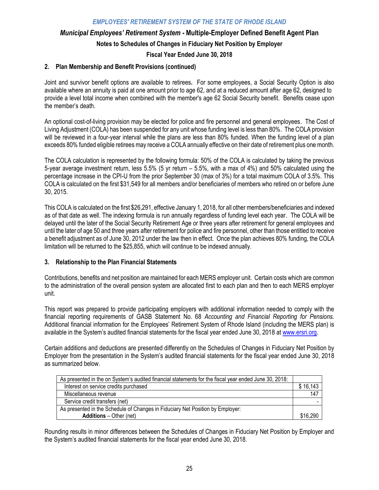### *Municipal Employees' Retirement System -* **Multiple-Employer Defined Benefit Agent Plan Notes to Schedules of Changes in Fiduciary Net Position by Employer Fiscal Year Ended June 30, 2018**

#### **2. Plan Membership and Benefit Provisions (continued)**

Joint and survivor benefit options are available to retirees**.** For some employees, a Social Security Option is also available where an annuity is paid at one amount prior to age 62, and at a reduced amount after age 62, designed to provide a level total income when combined with the member's age 62 Social Security benefit. Benefits cease upon the member's death.

An optional cost-of-living provision may be elected for police and fire personnel and general employees. The Cost of Living Adjustment (COLA) has been suspended for any unit whose funding level is less than 80%. The COLA provision will be reviewed in a four-year interval while the plans are less than 80% funded. When the funding level of a plan exceeds 80% funded eligible retirees may receive a COLA annually effective on their date of retirement plus one month.

The COLA calculation is represented by the following formula: 50% of the COLA is calculated by taking the previous 5-year average investment return, less 5.5% (5 yr return – 5.5%, with a max of 4%) and 50% calculated using the percentage increase in the CPI-U from the prior September 30 (max of 3%) for a total maximum COLA of 3.5%. This COLA is calculated on the first \$31,549 for all members and/or beneficiaries of members who retired on or before June 30, 2015.

This COLA is calculated on the first \$26,291, effective January 1, 2018, for all other members/beneficiaries and indexed as of that date as well. The indexing formula is run annually regardless of funding level each year. The COLA will be delayed until the later of the Social Security Retirement Age or three years after retirement for general employees and until the later of age 50 and three years after retirement for police and fire personnel, other than those entitled to receive a benefit adjustment as of June 30, 2012 under the law then in effect. Once the plan achieves 80% funding, the COLA limitation will be returned to the \$25,855, which will continue to be indexed annually.

#### **3. Relationship to the Plan Financial Statements**

Contributions, benefits and net position are maintained for each MERS employer unit. Certain costs which are common to the administration of the overall pension system are allocated first to each plan and then to each MERS employer unit.

This report was prepared to provide participating employers with additional information needed to comply with the financial reporting requirements of GASB Statement No. 68 *Accounting and Financial Reporting for Pensions.*  Additional financial information for the Employees' Retirement System of Rhode Island (including the MERS plan) is available in the System's audited financial statements for the fiscal year ended June 30, 2018 a[t www.ersri.org.](http://www.ersri.org/)

Certain additions and deductions are presented differently on the Schedules of Changes in Fiduciary Net Position by Employer from the presentation in the System's audited financial statements for the fiscal year ended June 30, 2018 as summarized below.

| As presented in the on System's audited financial statements for the fiscal year ended June 30, 2018: |          |
|-------------------------------------------------------------------------------------------------------|----------|
| Interest on service credits purchased                                                                 | \$16,143 |
| Miscellaneous revenue                                                                                 | 147      |
| Service credit transfers (net)                                                                        |          |
| As presented in the Schedule of Changes in Fiduciary Net Position by Employer:                        |          |
| <b>Additions</b> $-$ Other (net)                                                                      | \$16,290 |

Rounding results in minor differences between the Schedules of Changes in Fiduciary Net Position by Employer and the System's audited financial statements for the fiscal year ended June 30, 2018.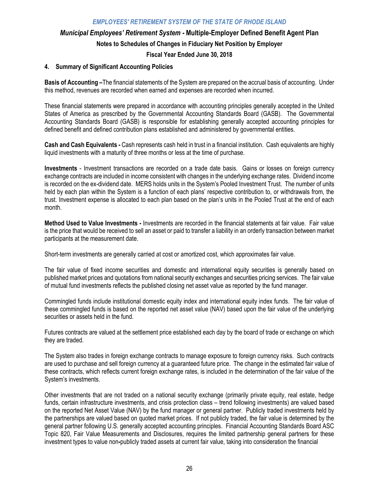### *Municipal Employees' Retirement System -* **Multiple-Employer Defined Benefit Agent Plan Notes to Schedules of Changes in Fiduciary Net Position by Employer Fiscal Year Ended June 30, 2018**

#### **4. Summary of Significant Accounting Policies**

**Basis of Accounting –**The financial statements of the System are prepared on the accrual basis of accounting. Under this method, revenues are recorded when earned and expenses are recorded when incurred.

These financial statements were prepared in accordance with accounting principles generally accepted in the United States of America as prescribed by the Governmental Accounting Standards Board (GASB). The Governmental Accounting Standards Board (GASB) is responsible for establishing generally accepted accounting principles for defined benefit and defined contribution plans established and administered by governmental entities.

**Cash and Cash Equivalents -** Cash represents cash held in trust in a financial institution. Cash equivalents are highly liquid investments with a maturity of three months or less at the time of purchase.

**Investments** - Investment transactions are recorded on a trade date basis. Gains or losses on foreign currency exchange contracts are included in income consistent with changes in the underlying exchange rates. Dividend income is recorded on the ex-dividend date. MERS holds units in the System's Pooled Investment Trust. The number of units held by each plan within the System is a function of each plans' respective contribution to, or withdrawals from, the trust. Investment expense is allocated to each plan based on the plan's units in the Pooled Trust at the end of each month.

**Method Used to Value Investments -** Investments are recorded in the financial statements at fair value. Fair value is the price that would be received to sell an asset or paid to transfer a liability in an orderly transaction between market participants at the measurement date.

Short-term investments are generally carried at cost or amortized cost, which approximates fair value.

The fair value of fixed income securities and domestic and international equity securities is generally based on published market prices and quotations from national security exchanges and securities pricing services. The fair value of mutual fund investments reflects the published closing net asset value as reported by the fund manager.

Commingled funds include institutional domestic equity index and international equity index funds. The fair value of these commingled funds is based on the reported net asset value (NAV) based upon the fair value of the underlying securities or assets held in the fund.

Futures contracts are valued at the settlement price established each day by the board of trade or exchange on which they are traded.

The System also trades in foreign exchange contracts to manage exposure to foreign currency risks. Such contracts are used to purchase and sell foreign currency at a guaranteed future price. The change in the estimated fair value of these contracts, which reflects current foreign exchange rates, is included in the determination of the fair value of the System's investments.

Other investments that are not traded on a national security exchange (primarily private equity, real estate, hedge funds, certain infrastructure investments, and crisis protection class – trend following investments) are valued based on the reported Net Asset Value (NAV) by the fund manager or general partner. Publicly traded investments held by the partnerships are valued based on quoted market prices. If not publicly traded, the fair value is determined by the general partner following U.S. generally accepted accounting principles. Financial Accounting Standards Board ASC Topic 820, Fair Value Measurements and Disclosures, requires the limited partnership general partners for these investment types to value non**-**publicly traded assets at current fair value, taking into consideration the financial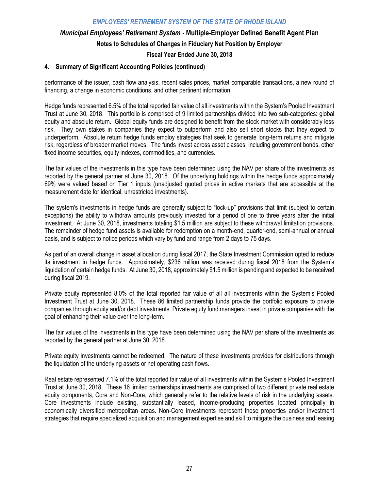### *Municipal Employees' Retirement System -* **Multiple-Employer Defined Benefit Agent Plan Notes to Schedules of Changes in Fiduciary Net Position by Employer Fiscal Year Ended June 30, 2018**

#### **4. Summary of Significant Accounting Policies (continued)**

performance of the issuer, cash flow analysis, recent sales prices, market comparable transactions, a new round of financing, a change in economic conditions, and other pertinent information.

Hedge funds represented 6.5% of the total reported fair value of all investments within the System's Pooled Investment Trust at June 30, 2018. This portfolio is comprised of 9 limited partnerships divided into two sub-categories: global equity and absolute return. Global equity funds are designed to benefit from the stock market with considerably less risk. They own stakes in companies they expect to outperform and also sell short stocks that they expect to underperform. Absolute return hedge funds employ strategies that seek to generate long-term returns and mitigate risk, regardless of broader market moves. The funds invest across asset classes, including government bonds, other fixed income securities, equity indexes, commodities, and currencies.

The fair values of the investments in this type have been determined using the NAV per share of the investments as reported by the general partner at June 30, 2018. Of the underlying holdings within the hedge funds approximately 69% were valued based on Tier 1 inputs (unadjusted quoted prices in active markets that are accessible at the measurement date for identical, unrestricted investments).

The system's investments in hedge funds are generally subject to "lock-up" provisions that limit (subject to certain exceptions) the ability to withdraw amounts previously invested for a period of one to three years after the initial investment. At June 30, 2018, investments totaling \$1.5 million are subject to these withdrawal limitation provisions. The remainder of hedge fund assets is available for redemption on a month-end, quarter-end, semi-annual or annual basis, and is subject to notice periods which vary by fund and range from 2 days to 75 days.

As part of an overall change in asset allocation during fiscal 2017, the State Investment Commission opted to reduce its investment in hedge funds. Approximately, \$236 million was received during fiscal 2018 from the System's liquidation of certain hedge funds. At June 30, 2018, approximately \$1.5 million is pending and expected to be received during fiscal 2019.

Private equity represented 8.0% of the total reported fair value of all all investments within the System's Pooled Investment Trust at June 30, 2018. These 86 limited partnership funds provide the portfolio exposure to private companies through equity and/or debt investments. Private equity fund managers invest in private companies with the goal of enhancing their value over the long-term.

The fair values of the investments in this type have been determined using the NAV per share of the investments as reported by the general partner at June 30, 2018.

Private equity investments cannot be redeemed. The nature of these investments provides for distributions through the liquidation of the underlying assets or net operating cash flows.

Real estate represented 7.1% of the total reported fair value of all investments within the System's Pooled Investment Trust at June 30, 2018. These 16 limited partnerships investments are comprised of two different private real estate equity components, Core and Non-Core, which generally refer to the relative levels of risk in the underlying assets. Core investments include existing, substantially leased, income-producing properties located principally in economically diversified metropolitan areas. Non-Core investments represent those properties and/or investment strategies that require specialized acquisition and management expertise and skill to mitigate the business and leasing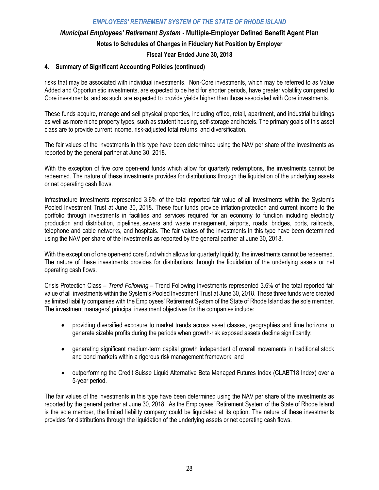### *Municipal Employees' Retirement System -* **Multiple-Employer Defined Benefit Agent Plan Notes to Schedules of Changes in Fiduciary Net Position by Employer Fiscal Year Ended June 30, 2018**

#### **4. Summary of Significant Accounting Policies (continued)**

risks that may be associated with individual investments. Non-Core investments, which may be referred to as Value Added and Opportunistic investments, are expected to be held for shorter periods, have greater volatility compared to Core investments, and as such, are expected to provide yields higher than those associated with Core investments.

These funds acquire, manage and sell physical properties, including office, retail, apartment, and industrial buildings as well as more niche property types, such as student housing, self-storage and hotels. The primary goals of this asset class are to provide current income, risk-adjusted total returns, and diversification.

The fair values of the investments in this type have been determined using the NAV per share of the investments as reported by the general partner at June 30, 2018.

With the exception of five core open-end funds which allow for quarterly redemptions, the investments cannot be redeemed. The nature of these investments provides for distributions through the liquidation of the underlying assets or net operating cash flows.

Infrastructure investments represented 3.6% of the total reported fair value of all investments within the System's Pooled Investment Trust at June 30, 2018. These four funds provide inflation-protection and current income to the portfolio through investments in facilities and services required for an economy to function including electricity production and distribution, pipelines, sewers and waste management, airports, roads, bridges, ports, railroads, telephone and cable networks, and hospitals. The fair values of the investments in this type have been determined using the NAV per share of the investments as reported by the general partner at June 30, 2018.

With the exception of one open-end core fund which allows for quarterly liquidity, the investments cannot be redeemed. The nature of these investments provides for distributions through the liquidation of the underlying assets or net operating cash flows.

Crisis Protection Class – *Trend Following –* Trend Following investments represented 3.6% of the total reported fair value of all investments within the System's Pooled Investment Trust at June 30, 2018. These three funds were created as limited liability companies with the Employees' Retirement System of the State of Rhode Island as the sole member. The investment managers' principal investment objectives for the companies include:

- providing diversified exposure to market trends across asset classes, geographies and time horizons to generate sizable profits during the periods when growth-risk exposed assets decline significantly;
- generating significant medium-term capital growth independent of overall movements in traditional stock and bond markets within a rigorous risk management framework; and
- outperforming the Credit Suisse Liquid Alternative Beta Managed Futures Index (CLABT18 Index) over a 5-year period.

The fair values of the investments in this type have been determined using the NAV per share of the investments as reported by the general partner at June 30, 2018. As the Employees' Retirement System of the State of Rhode Island is the sole member, the limited liability company could be liquidated at its option. The nature of these investments provides for distributions through the liquidation of the underlying assets or net operating cash flows.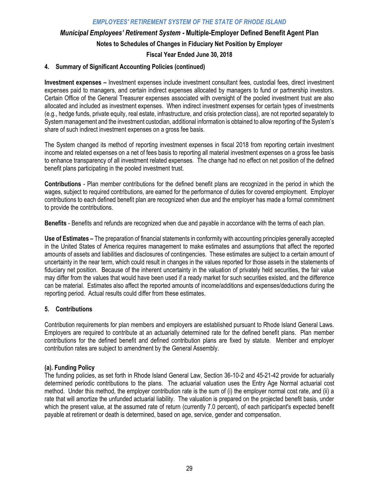### *Municipal Employees' Retirement System -* **Multiple-Employer Defined Benefit Agent Plan Notes to Schedules of Changes in Fiduciary Net Position by Employer Fiscal Year Ended June 30, 2018**

#### **4. Summary of Significant Accounting Policies (continued)**

**Investment expenses –** Investment expenses include investment consultant fees, custodial fees, direct investment expenses paid to managers, and certain indirect expenses allocated by managers to fund or partnership investors. Certain Office of the General Treasurer expenses associated with oversight of the pooled investment trust are also allocated and included as investment expenses. When indirect investment expenses for certain types of investments (e.g., hedge funds, private equity, real estate, infrastructure, and crisis protection class), are not reported separately to System management and the investment custodian, additional information is obtained to allow reporting of the System's share of such indirect investment expenses on a gross fee basis.

The System changed its method of reporting investment expenses in fiscal 2018 from reporting certain investment income and related expenses on a net of fees basis to reporting all material investment expenses on a gross fee basis to enhance transparency of all investment related expenses. The change had no effect on net position of the defined benefit plans participating in the pooled investment trust.

**Contributions** - Plan member contributions for the defined benefit plans are recognized in the period in which the wages, subject to required contributions, are earned for the performance of duties for covered employment. Employer contributions to each defined benefit plan are recognized when due and the employer has made a formal commitment to provide the contributions.

**Benefits** - Benefits and refunds are recognized when due and payable in accordance with the terms of each plan.

**Use of Estimates –** The preparation of financial statements in conformity with accounting principles generally accepted in the United States of America requires management to make estimates and assumptions that affect the reported amounts of assets and liabilities and disclosures of contingencies. These estimates are subject to a certain amount of uncertainty in the near term, which could result in changes in the values reported for those assets in the statements of fiduciary net position. Because of the inherent uncertainty in the valuation of privately held securities, the fair value may differ from the values that would have been used if a ready market for such securities existed, and the difference can be material. Estimates also affect the reported amounts of income/additions and expenses/deductions during the reporting period. Actual results could differ from these estimates.

#### **5. Contributions**

Contribution requirements for plan members and employers are established pursuant to Rhode Island General Laws. Employers are required to contribute at an actuarially determined rate for the defined benefit plans. Plan member contributions for the defined benefit and defined contribution plans are fixed by statute. Member and employer contribution rates are subject to amendment by the General Assembly.

#### **(a). Funding Policy**

The funding policies, as set forth in Rhode Island General Law, Section 36-10-2 and 45-21-42 provide for actuarially determined periodic contributions to the plans. The actuarial valuation uses the Entry Age Normal actuarial cost method. Under this method, the employer contribution rate is the sum of (i) the employer normal cost rate, and (ii) a rate that will amortize the unfunded actuarial liability. The valuation is prepared on the projected benefit basis, under which the present value, at the assumed rate of return (currently 7.0 percent), of each participant's expected benefit payable at retirement or death is determined, based on age, service, gender and compensation.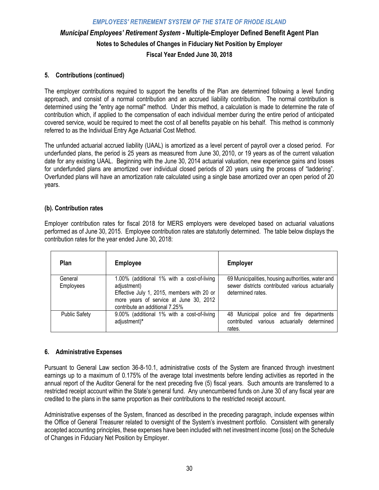### *Municipal Employees' Retirement System -* **Multiple-Employer Defined Benefit Agent Plan Notes to Schedules of Changes in Fiduciary Net Position by Employer Fiscal Year Ended June 30, 2018**

#### **5. Contributions (continued)**

The employer contributions required to support the benefits of the Plan are determined following a level funding approach, and consist of a normal contribution and an accrued liability contribution. The normal contribution is determined using the "entry age normal" method. Under this method, a calculation is made to determine the rate of contribution which, if applied to the compensation of each individual member during the entire period of anticipated covered service, would be required to meet the cost of all benefits payable on his behalf. This method is commonly referred to as the Individual Entry Age Actuarial Cost Method.

The unfunded actuarial accrued liability (UAAL) is amortized as a level percent of payroll over a closed period. For underfunded plans, the period is 25 years as measured from June 30, 2010, or 19 years as of the current valuation date for any existing UAAL. Beginning with the June 30, 2014 actuarial valuation, new experience gains and losses for underfunded plans are amortized over individual closed periods of 20 years using the process of "laddering". Overfunded plans will have an amortization rate calculated using a single base amortized over an open period of 20 years.

#### **(b). Contribution rates**

Employer contribution rates for fiscal 2018 for MERS employers were developed based on actuarial valuations performed as of June 30, 2015. Employee contribution rates are statutorily determined. The table below displays the contribution rates for the year ended June 30, 2018:

| <b>Plan</b>          | <b>Employee</b>                                                                                                                                                                     | <b>Employer</b>                                                                                                           |
|----------------------|-------------------------------------------------------------------------------------------------------------------------------------------------------------------------------------|---------------------------------------------------------------------------------------------------------------------------|
| General<br>Employees | 1.00% (additional 1% with a cost-of-living<br>adjustment)<br>Effective July 1, 2015, members with 20 or<br>more years of service at June 30, 2012<br>contribute an additional 7.25% | 69 Municipalities, housing authorities, water and<br>sewer districts contributed various actuarially<br>determined rates. |
| <b>Public Safety</b> | 9.00% (additional 1% with a cost-of-living<br>adjustment)*                                                                                                                          | 48 Municipal police and fire departments<br>contributed various actuarially determined<br>rates.                          |

#### **6. Administrative Expenses**

Pursuant to General Law section 36-8-10.1, administrative costs of the System are financed through investment earnings up to a maximum of 0.175% of the average total investments before lending activities as reported in the annual report of the Auditor General for the next preceding five (5) fiscal years. Such amounts are transferred to a restricted receipt account within the State's general fund. Any unencumbered funds on June 30 of any fiscal year are credited to the plans in the same proportion as their contributions to the restricted receipt account.

Administrative expenses of the System, financed as described in the preceding paragraph, include expenses within the Office of General Treasurer related to oversight of the System's investment portfolio. Consistent with generally accepted accounting principles, these expenses have been included with net investment income (loss) on the Schedule of Changes in Fiduciary Net Position by Employer.